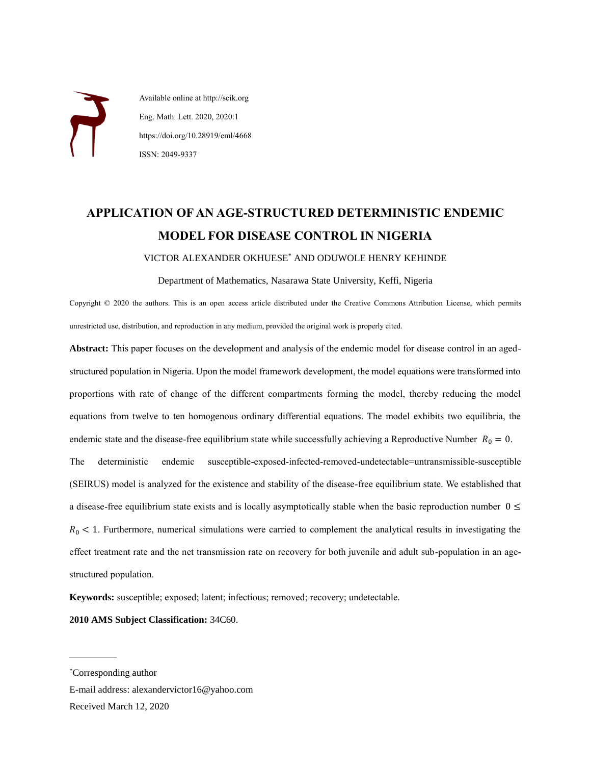Available online at http://scik.org Eng. Math. Lett. 2020, 2020:1 https://doi.org/10.28919/eml/4668 ISSN: 2049-9337

# **APPLICATION OF AN AGE-STRUCTURED DETERMINISTIC ENDEMIC MODEL FOR DISEASE CONTROL IN NIGERIA**

VICTOR ALEXANDER OKHUESE\* AND ODUWOLE HENRY KEHINDE

Department of Mathematics, Nasarawa State University, Keffi, Nigeria

Copyright © 2020 the authors. This is an open access article distributed under the Creative Commons Attribution License, which permits unrestricted use, distribution, and reproduction in any medium, provided the original work is properly cited.

**Abstract:** This paper focuses on the development and analysis of the endemic model for disease control in an agedstructured population in Nigeria. Upon the model framework development, the model equations were transformed into proportions with rate of change of the different compartments forming the model, thereby reducing the model equations from twelve to ten homogenous ordinary differential equations. The model exhibits two equilibria, the endemic state and the disease-free equilibrium state while successfully achieving a Reproductive Number  $R_0 = 0$ . The deterministic endemic susceptible-exposed-infected-removed-undetectable=untransmissible-susceptible (SEIRUS) model is analyzed for the existence and stability of the disease-free equilibrium state. We established that a disease-free equilibrium state exists and is locally asymptotically stable when the basic reproduction number  $0 \le$  $R_0$  < 1. Furthermore, numerical simulations were carried to complement the analytical results in investigating the effect treatment rate and the net transmission rate on recovery for both juvenile and adult sub-population in an agestructured population.

**Keywords:** susceptible; exposed; latent; infectious; removed; recovery; undetectable.

**2010 AMS Subject Classification:** 34C60.

 $\overline{a}$ 

E-mail address: alexandervictor16@yahoo.com Received March 12, 2020

<sup>\*</sup>Corresponding author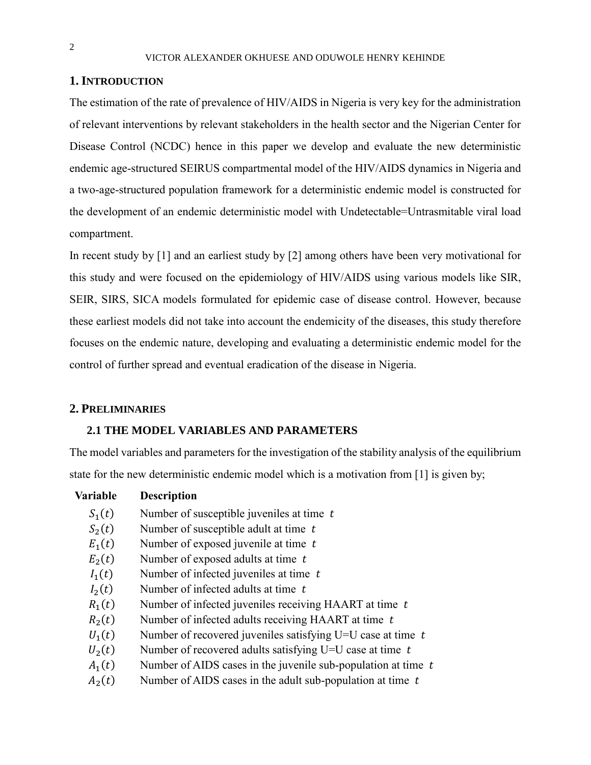## **1. INTRODUCTION**

The estimation of the rate of prevalence of HIV/AIDS in Nigeria is very key for the administration of relevant interventions by relevant stakeholders in the health sector and the Nigerian Center for Disease Control (NCDC) hence in this paper we develop and evaluate the new deterministic endemic age-structured SEIRUS compartmental model of the HIV/AIDS dynamics in Nigeria and a two-age-structured population framework for a deterministic endemic model is constructed for the development of an endemic deterministic model with Undetectable=Untrasmitable viral load compartment.

In recent study by [1] and an earliest study by [2] among others have been very motivational for this study and were focused on the epidemiology of HIV/AIDS using various models like SIR, SEIR, SIRS, SICA models formulated for epidemic case of disease control. However, because these earliest models did not take into account the endemicity of the diseases, this study therefore focuses on the endemic nature, developing and evaluating a deterministic endemic model for the control of further spread and eventual eradication of the disease in Nigeria.

### **2. PRELIMINARIES**

## **2.1 THE MODEL VARIABLES AND PARAMETERS**

The model variables and parameters for the investigation of the stability analysis of the equilibrium state for the new deterministic endemic model which is a motivation from [1] is given by;

### **Variable Description**

- $S_1(t)$ Number of susceptible juveniles at time  $t$
- $S_2(t)$ Number of susceptible adult at time  $t$
- $E_1(t)$ Number of exposed juvenile at time  $t$
- $E_2(t)$ Number of exposed adults at time  $t$
- $I_1(t)$ Number of infected juveniles at time  $t$
- $I_2(t)$ Number of infected adults at time  $t$
- $R_1(t)$ Number of infected juveniles receiving HAART at time  $t$
- $R_2(t)$ Number of infected adults receiving HAART at time  $t$
- $U_1(t)$ Number of recovered juveniles satisfying U=U case at time  $t$
- $U_2(t)$ Number of recovered adults satisfying U=U case at time  $t$
- $A_1(t)$ Number of AIDS cases in the juvenile sub-population at time  $t$
- $A_2(t)$ Number of AIDS cases in the adult sub-population at time  $t$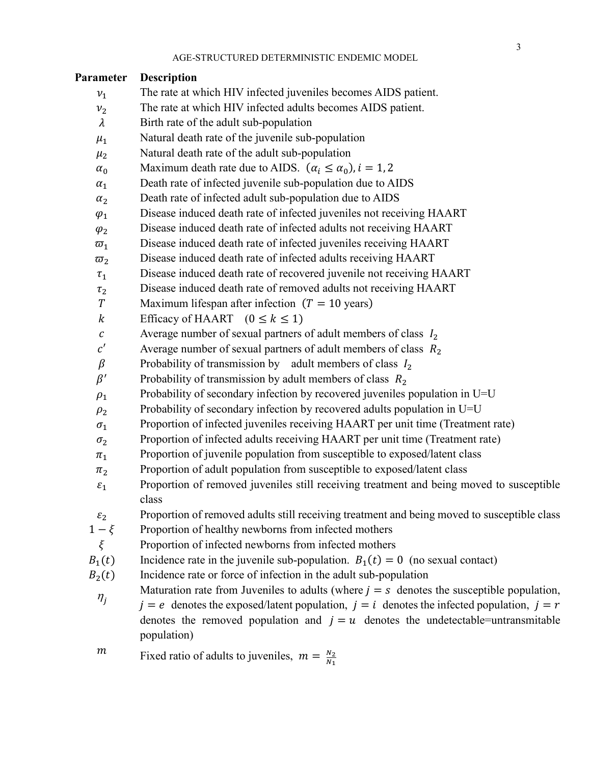| Parameter             | <b>Description</b>                                                                                                                                                                                                                                                                                  |  |  |  |  |  |
|-----------------------|-----------------------------------------------------------------------------------------------------------------------------------------------------------------------------------------------------------------------------------------------------------------------------------------------------|--|--|--|--|--|
| $v_1$                 | The rate at which HIV infected juveniles becomes AIDS patient.                                                                                                                                                                                                                                      |  |  |  |  |  |
| $\nu_2$               | The rate at which HIV infected adults becomes AIDS patient.                                                                                                                                                                                                                                         |  |  |  |  |  |
| $\lambda$             | Birth rate of the adult sub-population                                                                                                                                                                                                                                                              |  |  |  |  |  |
| $\mu_1$               | Natural death rate of the juvenile sub-population                                                                                                                                                                                                                                                   |  |  |  |  |  |
| $\mu_2$               | Natural death rate of the adult sub-population                                                                                                                                                                                                                                                      |  |  |  |  |  |
| $\alpha_0$            | Maximum death rate due to AIDS. $(\alpha_i \le \alpha_0)$ , $i = 1, 2$                                                                                                                                                                                                                              |  |  |  |  |  |
| $\alpha_1$            | Death rate of infected juvenile sub-population due to AIDS                                                                                                                                                                                                                                          |  |  |  |  |  |
| $\alpha_2$            | Death rate of infected adult sub-population due to AIDS                                                                                                                                                                                                                                             |  |  |  |  |  |
| $\varphi_1$           | Disease induced death rate of infected juveniles not receiving HAART                                                                                                                                                                                                                                |  |  |  |  |  |
| $\varphi_2$           | Disease induced death rate of infected adults not receiving HAART                                                                                                                                                                                                                                   |  |  |  |  |  |
| $\overline{\omega}_1$ | Disease induced death rate of infected juveniles receiving HAART                                                                                                                                                                                                                                    |  |  |  |  |  |
| $\overline{\omega}_2$ | Disease induced death rate of infected adults receiving HAART                                                                                                                                                                                                                                       |  |  |  |  |  |
| $\tau_1$              | Disease induced death rate of recovered juvenile not receiving HAART                                                                                                                                                                                                                                |  |  |  |  |  |
| $\tau_2$              | Disease induced death rate of removed adults not receiving HAART                                                                                                                                                                                                                                    |  |  |  |  |  |
| $\cal T$              | Maximum lifespan after infection $(T = 10 \text{ years})$                                                                                                                                                                                                                                           |  |  |  |  |  |
| $\boldsymbol{k}$      | Efficacy of HAART $(0 \le k \le 1)$                                                                                                                                                                                                                                                                 |  |  |  |  |  |
| $\cal C$              | Average number of sexual partners of adult members of class $I_2$                                                                                                                                                                                                                                   |  |  |  |  |  |
| c'                    | Average number of sexual partners of adult members of class $R_2$                                                                                                                                                                                                                                   |  |  |  |  |  |
| $\beta$               | Probability of transmission by adult members of class $I_2$                                                                                                                                                                                                                                         |  |  |  |  |  |
| $\beta'$              | Probability of transmission by adult members of class $R_2$                                                                                                                                                                                                                                         |  |  |  |  |  |
| $\rho_1$              | Probability of secondary infection by recovered juveniles population in U=U                                                                                                                                                                                                                         |  |  |  |  |  |
| $\rho_2$              | Probability of secondary infection by recovered adults population in U=U                                                                                                                                                                                                                            |  |  |  |  |  |
| $\sigma_1$            | Proportion of infected juveniles receiving HAART per unit time (Treatment rate)                                                                                                                                                                                                                     |  |  |  |  |  |
| $\sigma_2$            | Proportion of infected adults receiving HAART per unit time (Treatment rate)                                                                                                                                                                                                                        |  |  |  |  |  |
| $\pi_1$               | Proportion of juvenile population from susceptible to exposed/latent class                                                                                                                                                                                                                          |  |  |  |  |  |
| $\pi_2$               | Proportion of adult population from susceptible to exposed/latent class                                                                                                                                                                                                                             |  |  |  |  |  |
| $\varepsilon_1$       | Proportion of removed juveniles still receiving treatment and being moved to susceptible<br>class                                                                                                                                                                                                   |  |  |  |  |  |
| $\varepsilon_2$       | Proportion of removed adults still receiving treatment and being moved to susceptible class                                                                                                                                                                                                         |  |  |  |  |  |
| $1-\xi$               | Proportion of healthy newborns from infected mothers                                                                                                                                                                                                                                                |  |  |  |  |  |
| $\xi$                 | Proportion of infected newborns from infected mothers                                                                                                                                                                                                                                               |  |  |  |  |  |
| $B_1(t)$              | Incidence rate in the juvenile sub-population. $B_1(t) = 0$ (no sexual contact)                                                                                                                                                                                                                     |  |  |  |  |  |
| $B_2(t)$              | Incidence rate or force of infection in the adult sub-population                                                                                                                                                                                                                                    |  |  |  |  |  |
| $\eta_{j}$            | Maturation rate from Juveniles to adults (where $j = s$ denotes the susceptible population,<br>$j = e$ denotes the exposed/latent population, $j = i$ denotes the infected population, $j = r$<br>denotes the removed population and $j = u$ denotes the undetectable=untransmitable<br>population) |  |  |  |  |  |
| $\,m$                 | Fixed ratio of adults to juveniles, $m = \frac{N_2}{N_1}$                                                                                                                                                                                                                                           |  |  |  |  |  |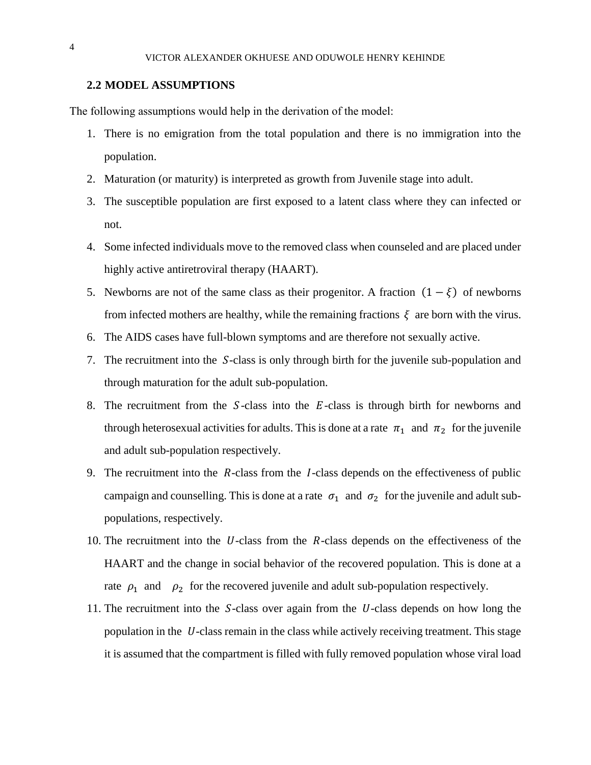### **2.2 MODEL ASSUMPTIONS**

The following assumptions would help in the derivation of the model:

- 1. There is no emigration from the total population and there is no immigration into the population.
- 2. Maturation (or maturity) is interpreted as growth from Juvenile stage into adult.
- 3. The susceptible population are first exposed to a latent class where they can infected or not.
- 4. Some infected individuals move to the removed class when counseled and are placed under highly active antiretroviral therapy (HAART).
- 5. Newborns are not of the same class as their progenitor. A fraction  $(1 \xi)$  of newborns from infected mothers are healthy, while the remaining fractions  $\xi$  are born with the virus.
- 6. The AIDS cases have full-blown symptoms and are therefore not sexually active.
- 7. The recruitment into the S-class is only through birth for the juvenile sub-population and through maturation for the adult sub-population.
- 8. The recruitment from the  $S$ -class into the  $E$ -class is through birth for newborns and through heterosexual activities for adults. This is done at a rate  $\pi_1$  and  $\pi_2$  for the juvenile and adult sub-population respectively.
- 9. The recruitment into the  $R$ -class from the  $I$ -class depends on the effectiveness of public campaign and counselling. This is done at a rate  $\sigma_1$  and  $\sigma_2$  for the juvenile and adult subpopulations, respectively.
- 10. The recruitment into the  $U$ -class from the  $R$ -class depends on the effectiveness of the HAART and the change in social behavior of the recovered population. This is done at a rate  $\rho_1$  and  $\rho_2$  for the recovered juvenile and adult sub-population respectively.
- 11. The recruitment into the  $S$ -class over again from the  $U$ -class depends on how long the population in the  $U$ -class remain in the class while actively receiving treatment. This stage it is assumed that the compartment is filled with fully removed population whose viral load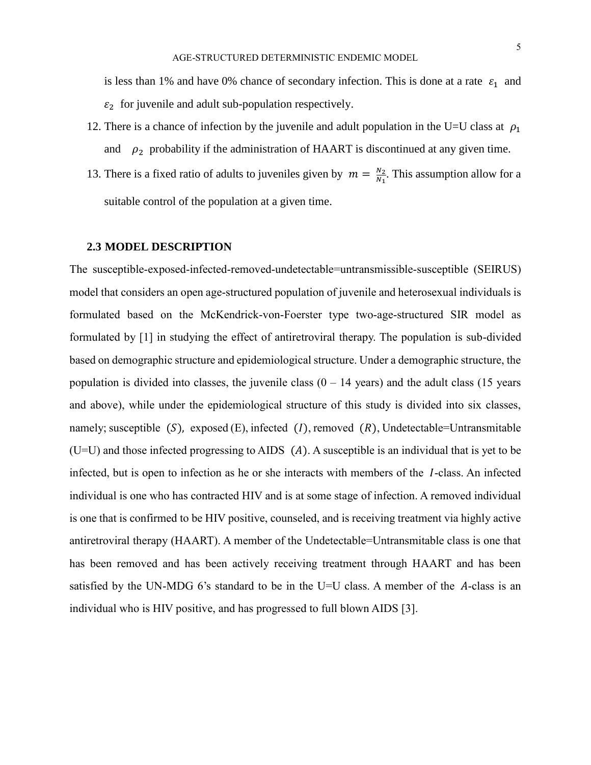is less than 1% and have 0% chance of secondary infection. This is done at a rate  $\varepsilon_1$  and  $\varepsilon_2$  for juvenile and adult sub-population respectively.

- 12. There is a chance of infection by the juvenile and adult population in the U=U class at  $\rho_1$ and  $\rho_2$  probability if the administration of HAART is discontinued at any given time.
- 13. There is a fixed ratio of adults to juveniles given by  $m = \frac{N_2}{N_1}$  $\frac{N_2}{N_1}$ . This assumption allow for a suitable control of the population at a given time.

#### **2.3 MODEL DESCRIPTION**

The susceptible-exposed-infected-removed-undetectable=untransmissible-susceptible (SEIRUS) model that considers an open age-structured population of juvenile and heterosexual individuals is formulated based on the McKendrick-von-Foerster type two-age-structured SIR model as formulated by [1] in studying the effect of antiretroviral therapy. The population is sub-divided based on demographic structure and epidemiological structure. Under a demographic structure, the population is divided into classes, the juvenile class  $(0 - 14$  years) and the adult class  $(15$  years and above), while under the epidemiological structure of this study is divided into six classes, namely; susceptible  $(S)$ , exposed  $(E)$ , infected  $(I)$ , removed  $(R)$ , Undetectable=Untransmitable  $(U=U)$  and those infected progressing to AIDS  $(A)$ . A susceptible is an individual that is yet to be infected, but is open to infection as he or she interacts with members of the  $\ell$ -class. An infected individual is one who has contracted HIV and is at some stage of infection. A removed individual is one that is confirmed to be HIV positive, counseled, and is receiving treatment via highly active antiretroviral therapy (HAART). A member of the Undetectable=Untransmitable class is one that has been removed and has been actively receiving treatment through HAART and has been satisfied by the UN-MDG 6's standard to be in the U=U class. A member of the  $A$ -class is an individual who is HIV positive, and has progressed to full blown AIDS [3].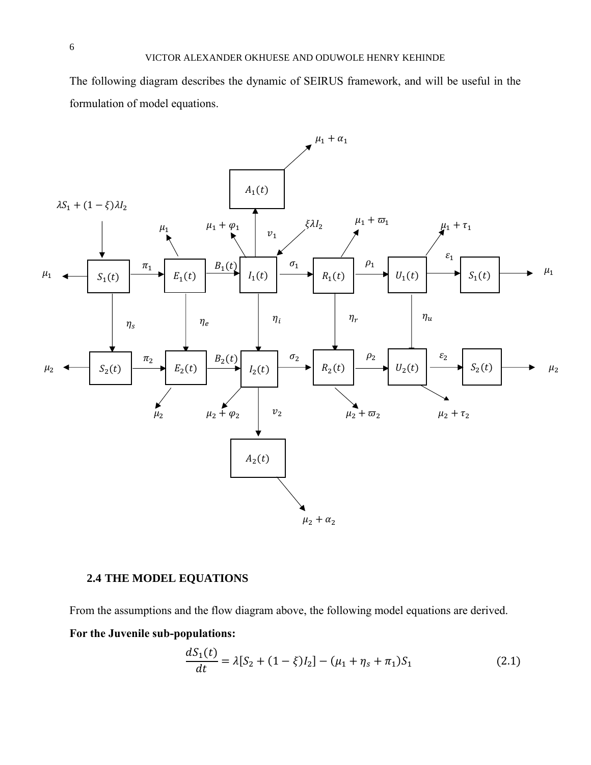The following diagram describes the dynamic of SEIRUS framework, and will be useful in the formulation of model equations.



# **2.4 THE MODEL EQUATIONS**

From the assumptions and the flow diagram above, the following model equations are derived.

**For the Juvenile sub-populations:** 

$$
\frac{dS_1(t)}{dt} = \lambda [S_2 + (1 - \xi)I_2] - (\mu_1 + \eta_s + \pi_1)S_1
$$
\n(2.1)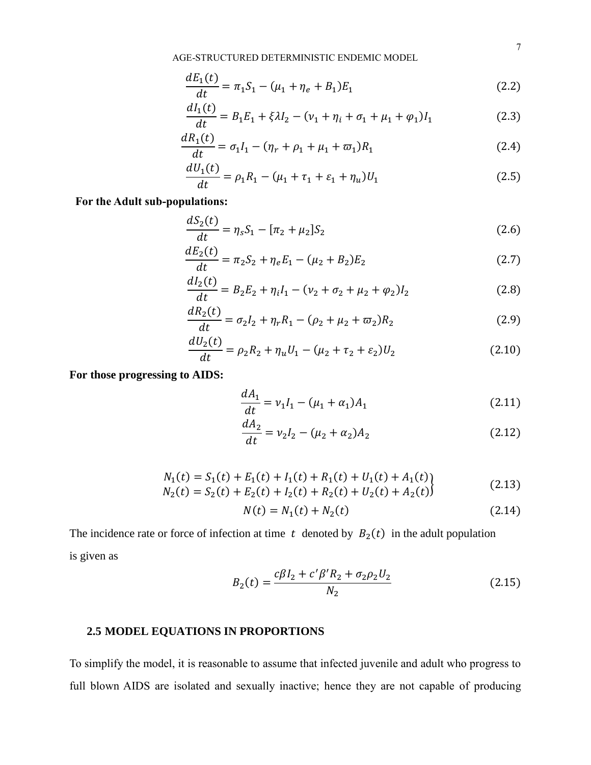AGE-STRUCTURED DETERMINISTIC ENDEMIC MODEL

$$
\frac{dE_1(t)}{dt} = \pi_1 S_1 - (\mu_1 + \eta_e + B_1) E_1
$$
\n(2.2)

$$
\frac{dI_1(t)}{dt} = B_1 E_1 + \xi \lambda I_2 - (\nu_1 + \eta_i + \sigma_1 + \mu_1 + \varphi_1) I_1
$$
\n(2.3)

$$
\frac{dR_1(t)}{dt} = \sigma_1 I_1 - (\eta_r + \rho_1 + \mu_1 + \varpi_1) R_1 \tag{2.4}
$$

$$
\frac{dU_1(t)}{dt} = \rho_1 R_1 - (\mu_1 + \tau_1 + \varepsilon_1 + \eta_u)U_1
$$
\n(2.5)

# **For the Adult sub-populations:**

$$
\frac{dS_2(t)}{dt} = \eta_s S_1 - [\pi_2 + \mu_2] S_2 \tag{2.6}
$$

$$
\frac{dE_2(t)}{dt} = \pi_2 S_2 + \eta_e E_1 - (\mu_2 + B_2) E_2
$$
\n(2.7)

$$
\frac{dI_2(t)}{dt} = B_2E_2 + \eta_i I_1 - (\nu_2 + \sigma_2 + \mu_2 + \varphi_2)I_2
$$
\n(2.8)

$$
\frac{dR_2(t)}{dt} = \sigma_2 I_2 + \eta_r R_1 - (\rho_2 + \mu_2 + \varpi_2) R_2
$$
\n(2.9)

$$
\frac{dU_2(t)}{dt} = \rho_2 R_2 + \eta_u U_1 - (\mu_2 + \tau_2 + \varepsilon_2) U_2 \tag{2.10}
$$

**For those progressing to AIDS:**

$$
\frac{dA_1}{dt} = v_1 I_1 - (\mu_1 + \alpha_1) A_1 \tag{2.11}
$$

$$
\frac{dA_2}{dt} = v_2 I_2 - (\mu_2 + \alpha_2) A_2 \tag{2.12}
$$

$$
N_1(t) = S_1(t) + E_1(t) + I_1(t) + R_1(t) + U_1(t) + A_1(t)
$$
  
\n
$$
N_2(t) = S_2(t) + E_2(t) + I_2(t) + R_2(t) + U_2(t) + A_2(t)
$$
\n(2.13)

$$
N(t) = N_1(t) + N_2(t)
$$
\n(2.14)

The incidence rate or force of infection at time t denoted by  $B_2(t)$  in the adult population is given as

$$
B_2(t) = \frac{c\beta I_2 + c'\beta' R_2 + \sigma_2 \rho_2 U_2}{N_2}
$$
\n(2.15)

# **2.5 MODEL EQUATIONS IN PROPORTIONS**

To simplify the model, it is reasonable to assume that infected juvenile and adult who progress to full blown AIDS are isolated and sexually inactive; hence they are not capable of producing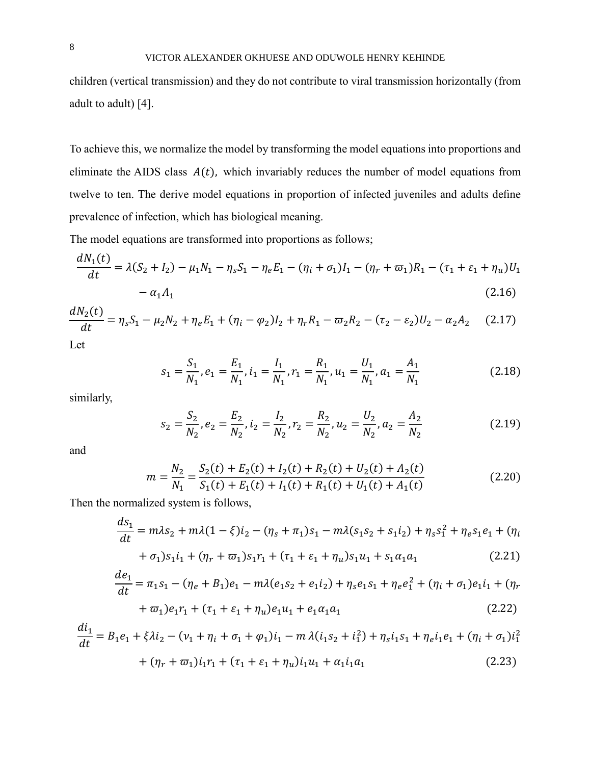children (vertical transmission) and they do not contribute to viral transmission horizontally (from adult to adult) [4].

To achieve this, we normalize the model by transforming the model equations into proportions and eliminate the AIDS class  $A(t)$ , which invariably reduces the number of model equations from twelve to ten. The derive model equations in proportion of infected juveniles and adults define prevalence of infection, which has biological meaning.

The model equations are transformed into proportions as follows;

$$
\frac{dN_1(t)}{dt} = \lambda(S_2 + I_2) - \mu_1 N_1 - \eta_s S_1 - \eta_e E_1 - (\eta_i + \sigma_1)I_1 - (\eta_r + \varpi_1)R_1 - (\tau_1 + \varepsilon_1 + \eta_u)U_1 - \alpha_1 A_1
$$
\n(2.16)

$$
\frac{dN_2(t)}{dt} = \eta_s S_1 - \mu_2 N_2 + \eta_e E_1 + (\eta_i - \varphi_2) I_2 + \eta_r R_1 - \varpi_2 R_2 - (\tau_2 - \varepsilon_2) U_2 - \alpha_2 A_2 \tag{2.17}
$$

Let

$$
s_1 = \frac{S_1}{N_1}, e_1 = \frac{E_1}{N_1}, i_1 = \frac{I_1}{N_1}, r_1 = \frac{R_1}{N_1}, u_1 = \frac{U_1}{N_1}, a_1 = \frac{A_1}{N_1}
$$
(2.18)

similarly,

$$
s_2 = \frac{S_2}{N_2}, e_2 = \frac{E_2}{N_2}, i_2 = \frac{I_2}{N_2}, r_2 = \frac{R_2}{N_2}, u_2 = \frac{U_2}{N_2}, a_2 = \frac{A_2}{N_2}
$$
(2.19)

and

$$
m = \frac{N_2}{N_1} = \frac{S_2(t) + E_2(t) + I_2(t) + R_2(t) + U_2(t) + A_2(t)}{S_1(t) + E_1(t) + I_1(t) + R_1(t) + U_1(t) + A_1(t)}
$$
(2.20)

Then the normalized system is follows,

$$
\frac{ds_1}{dt} = m\lambda s_2 + m\lambda (1 - \xi) i_2 - (\eta_s + \pi_1) s_1 - m\lambda (s_1 s_2 + s_1 i_2) + \eta_s s_1^2 + \eta_e s_1 e_1 + (\eta_i + \sigma_1) s_1 i_1 + (\eta_r + \varpi_1) s_1 r_1 + (\tau_1 + \varepsilon_1 + \eta_u) s_1 u_1 + s_1 \alpha_1 a_1 \tag{2.21}
$$

$$
\frac{de_1}{dt} = \pi_1 s_1 - (\eta_e + B_1)e_1 - m\lambda(e_1 s_2 + e_1 i_2) + \eta_s e_1 s_1 + \eta_e e_1^2 + (\eta_i + \sigma_1)e_1 i_1 + (\eta_r)
$$

$$
+\varpi_1)e_1r_1 + (\tau_1 + \varepsilon_1 + \eta_u)e_1u_1 + e_1\alpha_1a_1\tag{2.22}
$$

$$
\frac{di_1}{dt} = B_1e_1 + \xi \lambda i_2 - (\nu_1 + \eta_i + \sigma_1 + \varphi_1)i_1 - m\lambda(i_1s_2 + i_1^2) + \eta_s i_1s_1 + \eta_e i_1e_1 + (\eta_i + \sigma_1)i_1^2
$$

$$
+ (\eta_r + \varpi_1)i_1r_1 + (\tau_1 + \varepsilon_1 + \eta_u)i_1u_1 + \alpha_1 i_1a_1 \tag{2.23}
$$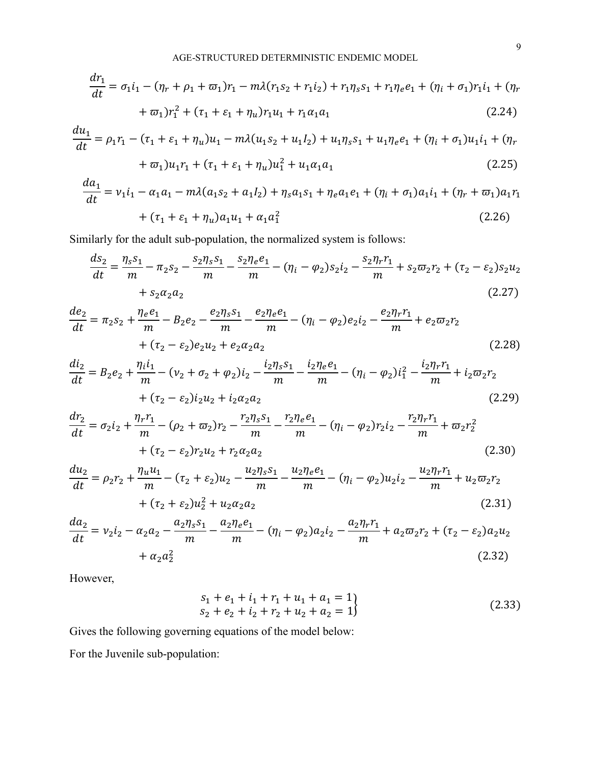$$
\frac{dr_1}{dt} = \sigma_1 i_1 - (\eta_r + \rho_1 + \varpi_1) r_1 - m\lambda (r_1 s_2 + r_1 i_2) + r_1 \eta_s s_1 + r_1 \eta_e e_1 + (\eta_i + \sigma_1) r_1 i_1 + (\eta_r + \varpi_1) r_1^2 + (\tau_1 + \varepsilon_1 + \eta_u) r_1 u_1 + r_1 \alpha_1 a_1
$$
\n(2.24)

$$
\frac{du_1}{dt} = \rho_1 r_1 - (\tau_1 + \varepsilon_1 + \eta_u)u_1 - m\lambda(u_1 s_2 + u_1 l_2) + u_1 \eta_s s_1 + u_1 \eta_e e_1 + (\eta_i + \sigma_1)u_1 i_1 + (\eta_r + \sigma_1)u_1 r_1 + (\tau_1 + \varepsilon_1 + \eta_u)u_1^2 + u_1 \alpha_1 a_1
$$
\n(2.25)

$$
\frac{da_1}{dt} = v_1 i_1 - \alpha_1 a_1 - m\lambda (a_1 s_2 + a_1 l_2) + \eta_s a_1 s_1 + \eta_e a_1 e_1 + (\eta_i + \sigma_1) a_1 i_1 + (\eta_r + \varpi_1) a_1 r_1
$$
  
+  $(\tau_1 + \varepsilon_1 + \eta_u) a_1 u_1 + \alpha_1 a_1^2$  (2.26)

Similarly for the adult sub-population, the normalized system is follows:

$$
\frac{ds_2}{dt} = \frac{\eta_s s_1}{m} - \pi_2 s_2 - \frac{s_2 \eta_s s_1}{m} - \frac{s_2 \eta_e e_1}{m} - (\eta_i - \varphi_2) s_2 i_2 - \frac{s_2 \eta_r r_1}{m} + s_2 \varpi_2 r_2 + (\tau_2 - \varepsilon_2) s_2 u_2
$$
  
+  $s_2 \alpha_2 a_2$  (2.27)

$$
\frac{de_2}{dt} = \pi_2 s_2 + \frac{\eta_e e_1}{m} - B_2 e_2 - \frac{e_2 \eta_s s_1}{m} - \frac{e_2 \eta_e e_1}{m} - (\eta_i - \varphi_2) e_2 i_2 - \frac{e_2 \eta_r r_1}{m} + e_2 \varpi_2 r_2 + (\tau_2 - \varepsilon_2) e_2 u_2 + e_2 \alpha_2 a_2 \tag{2.28}
$$

$$
\frac{di_2}{dt} = B_2 e_2 + \frac{\eta_i i_1}{m} - (\nu_2 + \sigma_2 + \varphi_2) i_2 - \frac{i_2 \eta_s s_1}{m} - \frac{i_2 \eta_e e_1}{m} - (\eta_i - \varphi_2) i_1^2 - \frac{i_2 \eta_r r_1}{m} + i_2 \varpi_2 r_2 + (\tau_2 - \varepsilon_2) i_2 u_2 + i_2 \alpha_2 a_2 \tag{2.29}
$$

$$
\frac{dr_2}{dt} = \sigma_2 i_2 + \frac{\eta_r r_1}{m} - (\rho_2 + \varpi_2) r_2 - \frac{r_2 \eta_s s_1}{m} - \frac{r_2 \eta_e e_1}{m} - (\eta_i - \varphi_2) r_2 i_2 - \frac{r_2 \eta_r r_1}{m} + \varpi_2 r_2^2 + (\tau_2 - \varepsilon_2) r_2 u_2 + r_2 \alpha_2 a_2 \tag{2.30}
$$

$$
\frac{du_2}{dt} = \rho_2 r_2 + \frac{\eta_u u_1}{m} - (\tau_2 + \varepsilon_2) u_2 - \frac{u_2 \eta_s s_1}{m} - \frac{u_2 \eta_e e_1}{m} - (\eta_i - \varphi_2) u_2 i_2 - \frac{u_2 \eta_r r_1}{m} + u_2 \varpi_2 r_2
$$
  
+  $(\tau_2 + \varepsilon_2) u_2^2 + u_2 \alpha_2 a_2$  (2.31)

$$
\frac{da_2}{dt} = v_2 i_2 - \alpha_2 a_2 - \frac{a_2 \eta_s s_1}{m} - \frac{a_2 \eta_e e_1}{m} - (\eta_i - \varphi_2) a_2 i_2 - \frac{a_2 \eta_r r_1}{m} + a_2 \varpi_2 r_2 + (\tau_2 - \varepsilon_2) a_2 u_2
$$
\n
$$
+ \alpha_2 a_2^2 \tag{2.32}
$$

However,

$$
s_1 + e_1 + i_1 + r_1 + u_1 + a_1 = 1s_2 + e_2 + i_2 + r_2 + u_2 + a_2 = 1
$$
\n(2.33)

Gives the following governing equations of the model below:

For the Juvenile sub-population: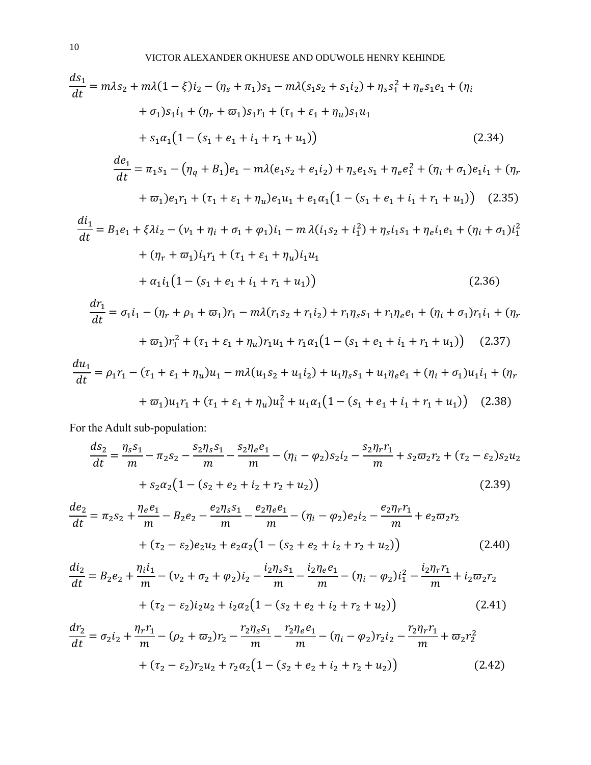$$
\frac{ds_1}{dt} = m\lambda s_2 + m\lambda (1 - \xi) i_2 - (\eta_s + \pi_1) s_1 - m\lambda (s_1 s_2 + s_1 i_2) + \eta_s s_1^2 + \eta_e s_1 e_1 + (\eta_i + \sigma_1) s_1 i_1 + (\eta_r + \sigma_1) s_1 r_1 + (\tau_1 + \varepsilon_1 + \eta_u) s_1 u_1
$$
  
+  $s_1 \alpha_1 (1 - (s_1 + e_1 + i_1 + \eta_t + u_1))$  (2.34)  

$$
\frac{de_1}{dt} = \pi_t s_1 - (\eta_s + \beta_t) e_1 - m\lambda (e_1 s_2 + e_1 i_2) + \eta_s e_1 s_1 + \eta_s e_1^2 + (\eta_s + \sigma_t) e_1 i_1 + (\eta_s + \eta_s) e_1
$$

$$
\frac{ie_1}{dt} = \pi_1 s_1 - (\eta_q + B_1)e_1 - m\lambda(e_1 s_2 + e_1 i_2) + \eta_s e_1 s_1 + \eta_e e_1^2 + (\eta_i + \sigma_1)e_1 i_1 + (\eta_r + \sigma_1)e_1 r_1 + (\tau_1 + \varepsilon_1 + \eta_u)e_1 u_1 + e_1 \alpha_1 (1 - (s_1 + e_1 + i_1 + \tau_1 + u_1))
$$
(2.35)

$$
\frac{di_1}{dt} = B_1e_1 + \xi \lambda i_2 - (\nu_1 + \eta_i + \sigma_1 + \varphi_1)i_1 - m \lambda (i_1s_2 + i_1^2) + \eta_s i_1s_1 + \eta_e i_1e_1 + (\eta_i + \sigma_1)i_1^2
$$
  
+  $(\eta_r + \varpi_1)i_1r_1 + (\tau_1 + \varepsilon_1 + \eta_u)i_1u_1$   
+  $\alpha_1 i_1 (1 - (s_1 + e_1 + i_1 + r_1 + u_1))$  (2.36)

$$
\frac{dr_1}{dt} = \sigma_1 i_1 - (\eta_r + \rho_1 + \omega_1) r_1 - m\lambda (r_1 s_2 + r_1 i_2) + r_1 \eta_s s_1 + r_1 \eta_e e_1 + (\eta_i + \sigma_1) r_1 i_1 + (\eta_r + \omega_1) r_1^2 + (\tau_1 + \varepsilon_1 + \eta_u) r_1 u_1 + r_1 \alpha_1 (1 - (s_1 + e_1 + i_1 + r_1 + u_1))
$$
(2.37)

$$
\frac{du_1}{dt} = \rho_1 r_1 - (\tau_1 + \varepsilon_1 + \eta_u)u_1 - m\lambda(u_1 s_2 + u_1 i_2) + u_1 \eta_s s_1 + u_1 \eta_e e_1 + (\eta_i + \sigma_1)u_1 i_1 + (\eta_r + \sigma_1)u_1 r_1 + (\tau_1 + \varepsilon_1 + \eta_u)u_1^2 + u_1 \alpha_1 (1 - (s_1 + e_1 + i_1 + r_1 + u_1))
$$
(2.38)

For the Adult sub-population:

$$
\frac{ds_2}{dt} = \frac{\eta_s s_1}{m} - \pi_2 s_2 - \frac{s_2 \eta_s s_1}{m} - \frac{s_2 \eta_e e_1}{m} - (\eta_i - \varphi_2) s_2 i_2 - \frac{s_2 \eta_r r_1}{m} + s_2 \varpi_2 r_2 + (\tau_2 - \varepsilon_2) s_2 u_2
$$

$$
+ s_2 \alpha_2 (1 - (s_2 + e_2 + i_2 + r_2 + u_2)) \tag{2.39}
$$

$$
\frac{de_2}{dt} = \pi_2 s_2 + \frac{\eta_e e_1}{m} - B_2 e_2 - \frac{e_2 \eta_s s_1}{m} - \frac{e_2 \eta_e e_1}{m} - (\eta_i - \varphi_2) e_2 i_2 - \frac{e_2 \eta_r r_1}{m} + e_2 \varpi_2 r_2
$$

$$
+ (\tau_2 - \varepsilon_2) e_2 u_2 + e_2 \alpha_2 (1 - (s_2 + e_2 + i_2 + r_2 + u_2)) \tag{2.40}
$$

$$
\frac{di_2}{dt} = B_2 e_2 + \frac{\eta_i i_1}{m} - (\nu_2 + \sigma_2 + \varphi_2) i_2 - \frac{i_2 \eta_s s_1}{m} - \frac{i_2 \eta_e e_1}{m} - (\eta_i - \varphi_2) i_1^2 - \frac{i_2 \eta_r r_1}{m} + i_2 \varpi_2 r_2
$$
  
+  $(\tau_2 - \varepsilon_2) i_2 u_2 + i_2 \alpha_2 (1 - (s_2 + e_2 + i_2 + r_2 + u_2))$  (2.41)

$$
\frac{dr_2}{dt} = \sigma_2 i_2 + \frac{\eta_r r_1}{m} - (\rho_2 + \varpi_2) r_2 - \frac{r_2 \eta_s s_1}{m} - \frac{r_2 \eta_e e_1}{m} - (\eta_i - \varphi_2) r_2 i_2 - \frac{r_2 \eta_r r_1}{m} + \varpi_2 r_2^2
$$
  
+  $(\tau_2 - \varepsilon_2) r_2 u_2 + r_2 \alpha_2 (1 - (s_2 + e_2 + i_2 + r_2 + u_2))$  (2.42)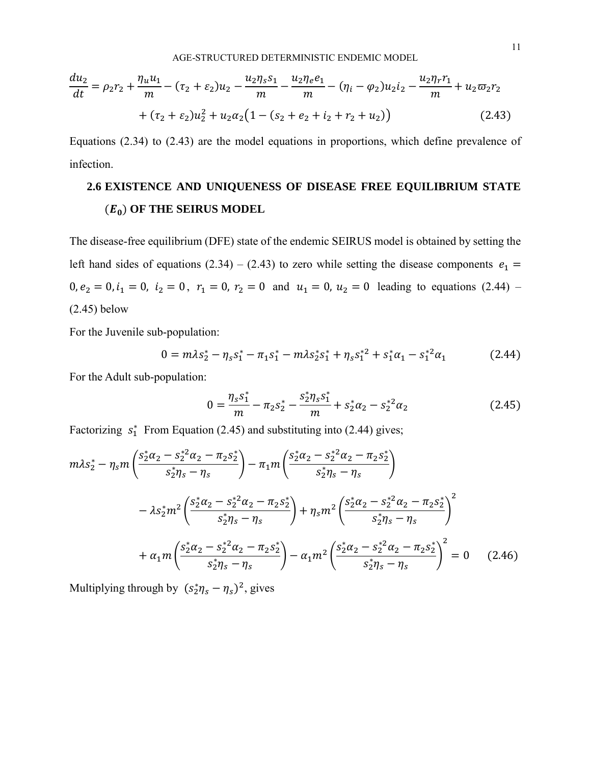AGE-STRUCTURED DETERMINISTIC ENDEMIC MODEL

$$
\frac{du_2}{dt} = \rho_2 r_2 + \frac{\eta_u u_1}{m} - (\tau_2 + \varepsilon_2) u_2 - \frac{u_2 \eta_s s_1}{m} - \frac{u_2 \eta_e e_1}{m} - (\eta_i - \varphi_2) u_2 i_2 - \frac{u_2 \eta_r r_1}{m} + u_2 \varpi_2 r_2
$$
  
+  $(\tau_2 + \varepsilon_2) u_2^2 + u_2 \alpha_2 (1 - (s_2 + e_2 + i_2 + r_2 + u_2))$  (2.43)

Equations (2.34) to (2.43) are the model equations in proportions, which define prevalence of infection.

# **2.6 EXISTENCE AND UNIQUENESS OF DISEASE FREE EQUILIBRIUM STATE**  ( ) **OF THE SEIRUS MODEL**

The disease-free equilibrium (DFE) state of the endemic SEIRUS model is obtained by setting the left hand sides of equations (2.34) – (2.43) to zero while setting the disease components  $e_1$  =  $0, e_2 = 0, i_1 = 0, i_2 = 0, r_1 = 0, r_2 = 0$  and  $u_1 = 0, u_2 = 0$  leading to equations (2.44) – (2.45) below

For the Juvenile sub-population:

$$
0 = m\lambda s_2^* - \eta_s s_1^* - \pi_1 s_1^* - m\lambda s_2^* s_1^* + \eta_s s_1^{*2} + s_1^* \alpha_1 - s_1^{*2} \alpha_1 \tag{2.44}
$$

For the Adult sub-population:

$$
0 = \frac{\eta_s s_1^*}{m} - \pi_2 s_2^* - \frac{s_2^* \eta_s s_1^*}{m} + s_2^* \alpha_2 - s_2^{*2} \alpha_2 \tag{2.45}
$$

Factorizing  $s_1^*$  From Equation (2.45) and substituting into (2.44) gives;

$$
m\lambda s_{2}^{*} - \eta_{s}m\left(\frac{s_{2}^{*}\alpha_{2} - s_{2}^{*2}\alpha_{2} - \pi_{2}s_{2}^{*}}{s_{2}^{*}\eta_{s} - \eta_{s}}\right) - \pi_{1}m\left(\frac{s_{2}^{*}\alpha_{2} - s_{2}^{*2}\alpha_{2} - \pi_{2}s_{2}^{*}}{s_{2}^{*}\eta_{s} - \eta_{s}}\right)
$$

$$
- \lambda s_{2}^{*}m^{2}\left(\frac{s_{2}^{*}\alpha_{2} - s_{2}^{*2}\alpha_{2} - \pi_{2}s_{2}^{*}}{s_{2}^{*}\eta_{s} - \eta_{s}}\right) + \eta_{s}m^{2}\left(\frac{s_{2}^{*}\alpha_{2} - s_{2}^{*2}\alpha_{2} - \pi_{2}s_{2}^{*}}{s_{2}^{*}\eta_{s} - \eta_{s}}\right)^{2}
$$

$$
+ \alpha_{1}m\left(\frac{s_{2}^{*}\alpha_{2} - s_{2}^{*2}\alpha_{2} - \pi_{2}s_{2}^{*}}{s_{2}^{*}\eta_{s} - \eta_{s}}\right) - \alpha_{1}m^{2}\left(\frac{s_{2}^{*}\alpha_{2} - s_{2}^{*2}\alpha_{2} - \pi_{2}s_{2}^{*}}{s_{2}^{*}\eta_{s} - \eta_{s}}\right)^{2} = 0 \quad (2.46)
$$

Multiplying through by  $(s_2^*\eta_s - \eta_s)^2$ , gives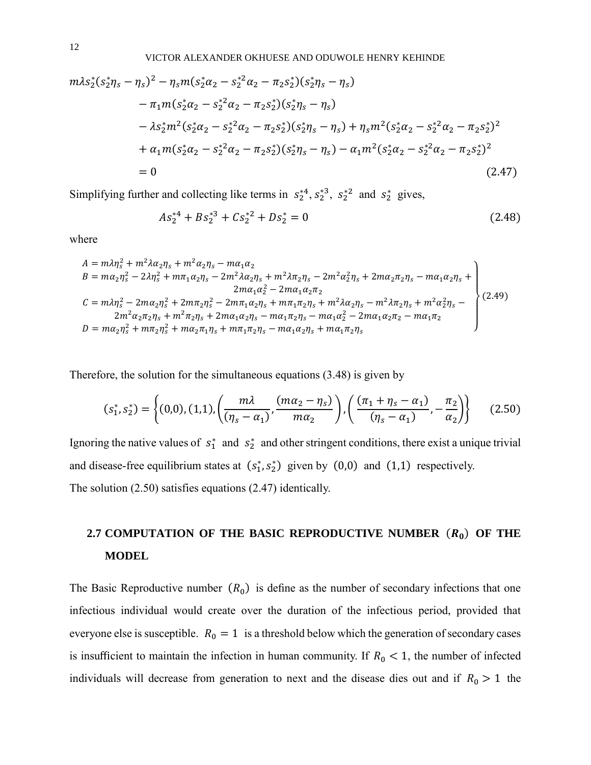VICTOR ALEXANDER OKHUESE AND ODUWOLE HENRY KEHINDE

$$
m\lambda s_{2}^{*}(s_{2}^{*}\eta_{s} - \eta_{s})^{2} - \eta_{s}m(s_{2}^{*}\alpha_{2} - s_{2}^{*2}\alpha_{2} - \pi_{2}s_{2}^{*})(s_{2}^{*}\eta_{s} - \eta_{s})
$$
  
\n
$$
- \pi_{1}m(s_{2}^{*}\alpha_{2} - s_{2}^{*2}\alpha_{2} - \pi_{2}s_{2}^{*})(s_{2}^{*}\eta_{s} - \eta_{s})
$$
  
\n
$$
- \lambda s_{2}^{*}m^{2}(s_{2}^{*}\alpha_{2} - s_{2}^{*2}\alpha_{2} - \pi_{2}s_{2}^{*})(s_{2}^{*}\eta_{s} - \eta_{s}) + \eta_{s}m^{2}(s_{2}^{*}\alpha_{2} - s_{2}^{*2}\alpha_{2} - \pi_{2}s_{2}^{*})^{2}
$$
  
\n
$$
+ \alpha_{1}m(s_{2}^{*}\alpha_{2} - s_{2}^{*2}\alpha_{2} - \pi_{2}s_{2}^{*})(s_{2}^{*}\eta_{s} - \eta_{s}) - \alpha_{1}m^{2}(s_{2}^{*}\alpha_{2} - s_{2}^{*2}\alpha_{2} - \pi_{2}s_{2}^{*})^{2}
$$
  
\n
$$
= 0
$$
  
\n(2.47)

Simplifying further and collecting like terms in  $s_2^{*4}, s_2^{*3}, s_2^{*2}$  and  $s_2^{*}$  gives,

$$
As_2^{*4} + Bs_2^{*3} + Cs_2^{*2} + Ds_2^{*} = 0
$$
\n(2.48)

where

$$
A = m\lambda \eta_s^2 + m^2 \lambda \alpha_2 \eta_s + m^2 \alpha_2 \eta_s - m\alpha_1 \alpha_2
$$
  
\n
$$
B = m\alpha_2 \eta_s^2 - 2\lambda \eta_s^2 + m\pi_1 \alpha_2 \eta_s - 2m^2 \lambda \alpha_2 \eta_s + m^2 \lambda \pi_2 \eta_s - 2m^2 \alpha_2^2 \eta_s + 2m\alpha_2 \pi_2 \eta_s - m\alpha_1 \alpha_2 \eta_s + 2m\alpha_2 \pi_2 \eta_s - m\alpha_1 \alpha_2 \eta_s + 2m\alpha_2 \alpha_2^2 - 2m\alpha_1 \alpha_2^2 \eta_s - 2m\alpha_1 \alpha_2^2 \eta_s - 2m\alpha_1 \alpha_2^2 \eta_s - 2m\alpha_1 \alpha_2^2 \eta_s - m^2 \lambda \pi_2 \eta_s + m^2 \alpha_2^2 \eta_s - 2m^2 \alpha_2 \pi_2 \eta_s + m^2 \pi_2 \eta_s + 2m\alpha_1 \alpha_2 \eta_s - m\alpha_1 \pi_2 \eta_s - m\alpha_1 \alpha_2^2 - 2m\alpha_1 \alpha_2 \pi_2 - m\alpha_1 \pi_2
$$
  
\n
$$
D = m\alpha_2 \eta_s^2 + m\pi_2 \eta_s^2 + m\alpha_2 \pi_1 \eta_s + m\pi_1 \pi_2 \eta_s - m\alpha_1 \alpha_2 \eta_s + m\alpha_1 \pi_2 \eta_s
$$
 (2.49)

Therefore, the solution for the simultaneous equations (3.48) is given by

$$
(s_1^*, s_2^*) = \left\{ (0,0), (1,1), \left( \frac{m\lambda}{(\eta_s - \alpha_1)}, \frac{(m\alpha_2 - \eta_s)}{m\alpha_2} \right), \left( \frac{(\pi_1 + \eta_s - \alpha_1)}{(\eta_s - \alpha_1)}, -\frac{\pi_2}{\alpha_2} \right) \right\}
$$
(2.50)

Ignoring the native values of  $s_1^*$  and  $s_2^*$  and other stringent conditions, there exist a unique trivial and disease-free equilibrium states at  $(s_1^*, s_2^*)$  given by  $(0,0)$  and  $(1,1)$  respectively. The solution (2.50) satisfies equations (2.47) identically.

# 2.7 COMPUTATION OF THE BASIC REPRODUCTIVE NUMBER  $(R_0)$  OF THE **MODEL**

The Basic Reproductive number  $(R_0)$  is define as the number of secondary infections that one infectious individual would create over the duration of the infectious period, provided that everyone else is susceptible.  $R_0 = 1$  is a threshold below which the generation of secondary cases is insufficient to maintain the infection in human community. If  $R_0 < 1$ , the number of infected individuals will decrease from generation to next and the disease dies out and if  $R_0 > 1$  the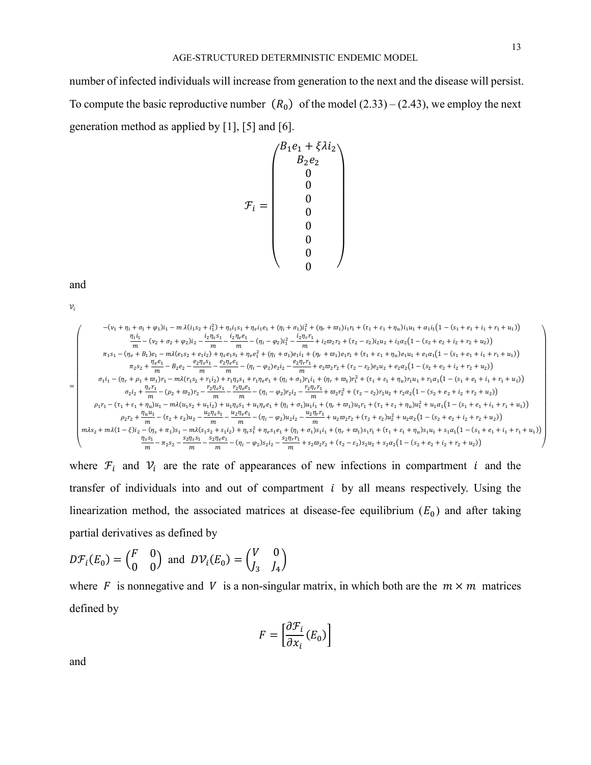13

number of infected individuals will increase from generation to the next and the disease will persist. To compute the basic reproductive number  $(R_0)$  of the model  $(2.33) - (2.43)$ , we employ the next generation method as applied by [1], [5] and [6].

$$
\mathcal{F}_i = \begin{pmatrix} B_1 e_1 + \xi \lambda i_2 \\ B_2 e_2 \\ 0 \\ 0 \\ 0 \\ 0 \\ 0 \\ 0 \\ 0 \end{pmatrix}
$$

and

 $\mathcal{V}_i$ 

$$
\begin{pmatrix} - (v_1+\eta_i+\sigma_1+\varphi_1)i_1-m\,\lambda (i_1s_2+i_1^2)+\eta_s i_1s_1+\eta_e i_1e_1+(\eta_i+\sigma_1)i_1^2+(\eta_r+\varpi_1)i_1r_1+(\tau_1+\varepsilon_1+\eta_u) i_1u_1+\alpha_1 i_1(1-(s_1+\varepsilon_1+i_1+r_1+u_1)) \\ \dfrac{\eta_i i_1}{m}-(v_2+\sigma_2+\varphi_2)i_2-\dfrac{i_2\eta_se_1}{m}-\dfrac{i_2\eta_e e_1}{m}-(\eta_i-\varphi_2)i_1^2-\dfrac{i_2\eta_r r_1}{m}+i_2\varpi_2 r_2+(\tau_2-\varepsilon_2)i_2u_2+i_2\alpha_2(1-(s_2+\varepsilon_2+i_2+r_2+u_2)) \\ \pi_1s_1-(\eta_e+\beta_1)e_1-m\lambda(e_1s_2+\varepsilon_1i_2)+\eta_se_1s_1+\eta_ee_1^2+(\eta_i+\sigma_1)e_1i_1+(\eta_r+\varpi_1)e_1r_1+(\tau_1+\varepsilon_1+\eta_u)e_1u_1+e_1\alpha_1(1-(s_1+\varepsilon_1+i_1+r_1+u_1)) \\ \pi_2s_2+\dfrac{\eta_ee_1}{m}-\beta_2e_2-\dfrac{e_2\eta_s s_1}{m}-\dfrac{e_2\eta_ee_1}{m}-(\eta_i-\varphi_2)e_2i_2-\dfrac{e_2\eta_r r_1}{m}+e_2\varpi_2 r_2+(\tau_2-\varepsilon_2)e_2u_2+e_2\alpha_2(1-(s_2+\varepsilon_2+i_2+r_2+u_2)) \\ \sigma_1i_1-(\eta_r+\rho_1+\varpi_1)r_1-m\lambda(r_1s_2+r_1i_2)+r_1\eta_s s_1+r_1\eta_ee_1+(\eta_i+\sigma_1)r_1i_1+(\eta_r+\varpi_1)r_1^2+(\tau_1+\varepsilon_1+\eta_u)r_1u_1+r_1\alpha_1(1-(s_1+\varepsilon_1+i_1+r_1+u_1)) \\ \sigma_2i_2+\dfrac{\eta_r r_1}{m}-(\rho_2+\varpi_2)r_2-\dfrac{r_2\eta_s s_1}{m}-\dfrac{r_2\eta_e e_1}{m}-
$$

where  $\mathcal{F}_i$  and  $\mathcal{V}_i$  are the rate of appearances of new infections in compartment i and the transfer of individuals into and out of compartment  $i$  by all means respectively. Using the linearization method, the associated matrices at disease-fee equilibrium  $(E_0)$  and after taking partial derivatives as defined by

$$
D\mathcal{F}_i(E_0) = \begin{pmatrix} F & 0 \\ 0 & 0 \end{pmatrix} \text{ and } D\mathcal{V}_i(E_0) = \begin{pmatrix} V & 0 \\ J_3 & J_4 \end{pmatrix}
$$

where F is nonnegative and V is a non-singular matrix, in which both are the  $m \times m$  matrices defined by

$$
F = \left[\frac{\partial \mathcal{F}_i}{\partial x_i}(E_0)\right]
$$

and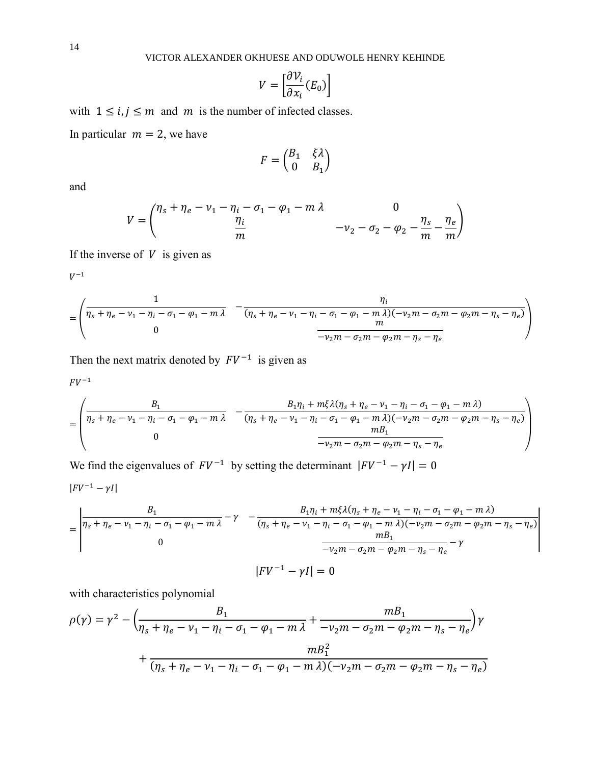$$
V = \left[\frac{\partial \mathcal{V}_i}{\partial x_i}(E_0)\right]
$$

with  $1 \le i, j \le m$  and m is the number of infected classes.

In particular  $m = 2$ , we have

$$
F = \begin{pmatrix} B_1 & \xi \lambda \\ 0 & B_1 \end{pmatrix}
$$

and

$$
V = \begin{pmatrix} \eta_s + \eta_e - \nu_1 - \eta_i - \sigma_1 - \varphi_1 - m\lambda & 0 \\ \frac{\eta_i}{m} & -\nu_2 - \sigma_2 - \varphi_2 - \frac{\eta_s}{m} - \frac{\eta_e}{m} \end{pmatrix}
$$

If the inverse of  $V$  is given as

$$
V^{-1}
$$

$$
= \left( \frac{\frac{1}{\eta_s + \eta_e - \nu_1 - \eta_i - \sigma_1 - \varphi_1 - m\,\lambda}}{0} - \frac{\eta_i}{(\eta_s + \eta_e - \nu_1 - \eta_i - \sigma_1 - \varphi_1 - m\,\lambda)(-\nu_2m - \sigma_2m - \varphi_2m - \eta_s - \eta_e)}{-\nu_2m - \sigma_2m - \varphi_2m - \eta_s - \eta_e} \right)
$$

Then the next matrix denoted by  $FV^{-1}$  is given as

$$
FV^{-1}
$$

$$
= \left( \frac{B_1}{\eta_s + \eta_e - \nu_1 - \eta_i - \sigma_1 - \varphi_1 - m\lambda} - \frac{B_1 \eta_i + m\xi \lambda (\eta_s + \eta_e - \nu_1 - \eta_i - \sigma_1 - \varphi_1 - m\lambda)}{(\eta_s + \eta_e - \nu_1 - \eta_i - \sigma_1 - \varphi_1 - m\lambda)(-\nu_2 m - \sigma_2 m - \varphi_2 m - \eta_s - \eta_e)} \right)
$$

We find the eigenvalues of  $FV^{-1}$  by setting the determinant  $|FV^{-1} - \gamma I| = 0$  $|FV^{-1} - \gamma I|$ 

$$
= \begin{vmatrix} \frac{B_1}{\eta_s + \eta_e - \nu_1 - \eta_i - \sigma_1 - \varphi_1 - m\lambda} - \gamma & -\frac{B_1 \eta_i + m\xi \lambda (\eta_s + \eta_e - \nu_1 - \eta_i - \sigma_1 - \varphi_1 - m\lambda)}{(\eta_s + \eta_e - \nu_1 - \eta_i - \sigma_1 - \varphi_1 - m\lambda)(-\nu_2 m - \sigma_2 m - \varphi_2 m - \eta_s - \eta_e)} \\ 0 & \frac{m_{B_1}}{-\nu_2 m - \sigma_2 m - \varphi_2 m - \eta_s - \eta_e} - \gamma \end{vmatrix}
$$
  
\n
$$
|FV^{-1} - \gamma I| = 0
$$

with characteristics polynomial

$$
\rho(\gamma) = \gamma^2 - \left(\frac{B_1}{\eta_s + \eta_e - \nu_1 - \eta_i - \sigma_1 - \varphi_1 - m\lambda} + \frac{m_{11}}{-\nu_2 m - \sigma_2 m - \varphi_2 m - \eta_s - \eta_e}\right)\gamma + \frac{m_{12}^2}{(\eta_s + \eta_e - \nu_1 - \eta_i - \sigma_1 - \varphi_1 - m\lambda)(-\nu_2 m - \sigma_2 m - \varphi_2 m - \eta_s - \eta_e)}
$$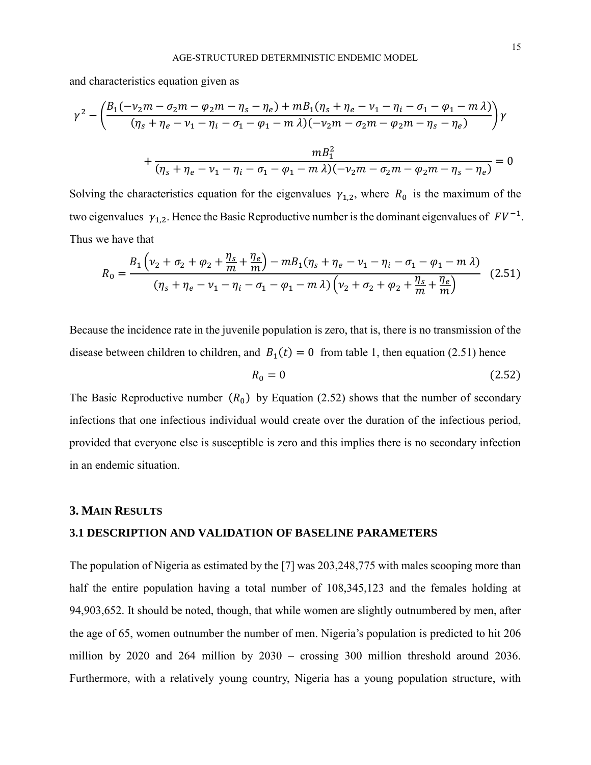and characteristics equation given as

$$
\gamma^2 - \left(\frac{B_1(-\nu_2 m - \sigma_2 m - \varphi_2 m - \eta_s - \eta_e) + m B_1(\eta_s + \eta_e - \nu_1 - \eta_i - \sigma_1 - \varphi_1 - m \lambda)}{(\eta_s + \eta_e - \nu_1 - \eta_i - \sigma_1 - \varphi_1 - m \lambda)(-\nu_2 m - \sigma_2 m - \varphi_2 m - \eta_s - \eta_e)}\right)\gamma
$$

$$
+ \frac{m B_1^2}{(\eta_s + \eta_e - \nu_1 - \eta_i - \sigma_1 - \varphi_1 - m \lambda)(-\nu_2 m - \sigma_2 m - \varphi_2 m - \eta_s - \eta_e)} = 0
$$

Solving the characteristics equation for the eigenvalues  $\gamma_{1,2}$ , where  $R_0$  is the maximum of the two eigenvalues  $\gamma_{1,2}$ . Hence the Basic Reproductive number is the dominant eigenvalues of  $FV^{-1}$ . Thus we have that

$$
R_0 = \frac{B_1 \left(v_2 + \sigma_2 + \frac{\eta_s}{m} + \frac{\eta_e}{m}\right) - mB_1(\eta_s + \eta_e - v_1 - \eta_i - \sigma_1 - \varphi_1 - m\lambda)}{(\eta_s + \eta_e - v_1 - \eta_i - \sigma_1 - \varphi_1 - m\lambda) \left(v_2 + \sigma_2 + \varphi_2 + \frac{\eta_s}{m} + \frac{\eta_e}{m}\right)}
$$
(2.51)

Because the incidence rate in the juvenile population is zero, that is, there is no transmission of the disease between children to children, and  $B_1(t) = 0$  from table 1, then equation (2.51) hence

$$
R_0 = 0 \tag{2.52}
$$

The Basic Reproductive number  $(R_0)$  by Equation (2.52) shows that the number of secondary infections that one infectious individual would create over the duration of the infectious period, provided that everyone else is susceptible is zero and this implies there is no secondary infection in an endemic situation.

### **3. MAIN RESULTS**

## **3.1 DESCRIPTION AND VALIDATION OF BASELINE PARAMETERS**

The population of Nigeria as estimated by the [7] was 203,248,775 with males scooping more than half the entire population having a total number of 108,345,123 and the females holding at 94,903,652. It should be noted, though, that while women are slightly outnumbered by men, after the age of 65, women outnumber the number of men. Nigeria's population is predicted to hit 206 million by 2020 and 264 million by 2030 – crossing 300 million threshold around 2036. Furthermore, with a relatively young country, Nigeria has a young population structure, with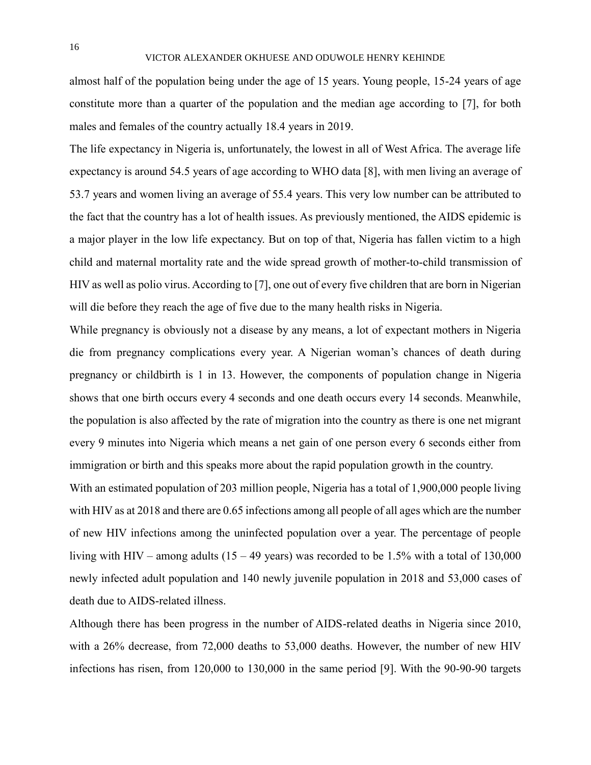almost half of the population being under the age of 15 years. Young people, 15-24 years of age constitute more than a quarter of the population and the median age according to [7], for both males and females of the country actually 18.4 years in 2019.

The life expectancy in Nigeria is, unfortunately, the lowest in all of West Africa. The average life expectancy is around 54.5 years of age according to WHO data [8], with men living an average of 53.7 years and women living an average of 55.4 years. This very low number can be attributed to the fact that the country has a lot of health issues. As previously mentioned, the AIDS epidemic is a major player in the low life expectancy. But on top of that, Nigeria has fallen victim to a high child and maternal mortality rate and the wide spread growth of mother-to-child transmission of HIV as well as polio virus. According to [7], one out of every five children that are born in Nigerian will die before they reach the age of five due to the many health risks in Nigeria.

While pregnancy is obviously not a disease by any means, a lot of expectant mothers in Nigeria die from pregnancy complications every year. A Nigerian woman's chances of death during pregnancy or childbirth is 1 in 13. However, the components of population change in Nigeria shows that one birth occurs every 4 seconds and one death occurs every 14 seconds. Meanwhile, the population is also affected by the rate of migration into the country as there is one net migrant every 9 minutes into Nigeria which means a net gain of one person every 6 seconds either from immigration or birth and this speaks more about the rapid population growth in the country.

With an estimated population of 203 million people, Nigeria has a total of 1,900,000 people living with HIV as at 2018 and there are 0.65 infections among all people of all ages which are the number of new HIV infections among the uninfected population over a year. The percentage of people living with HIV – among adults  $(15 - 49 \text{ years})$  was recorded to be 1.5% with a total of 130,000 newly infected adult population and 140 newly juvenile population in 2018 and 53,000 cases of death due to AIDS-related illness.

Although there has been progress in the number of AIDS-related deaths in Nigeria since 2010, with a 26% decrease, from 72,000 deaths to 53,000 deaths. However, the number of new HIV infections has risen, from 120,000 to 130,000 in the same period [9]. With the 90-90-90 targets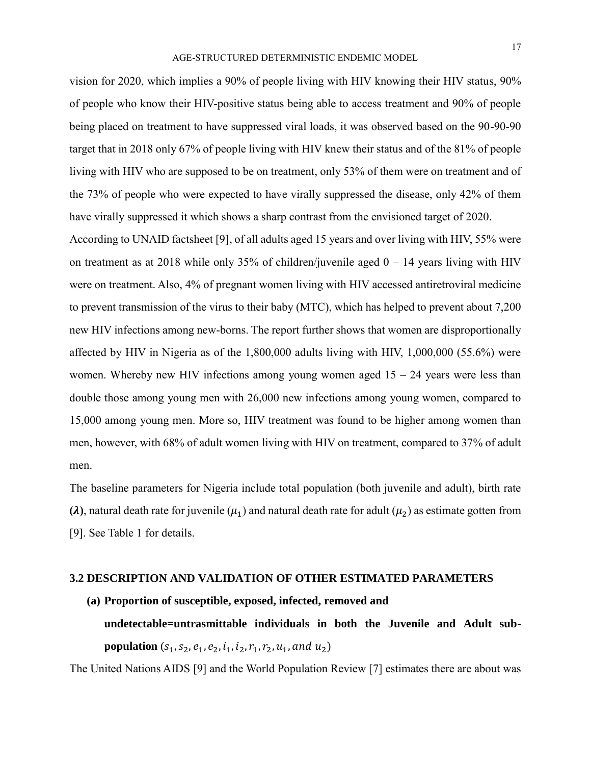vision for 2020, which implies a 90% of people living with HIV knowing their HIV status, 90% of people who know their HIV-positive status being able to access treatment and 90% of people being placed on treatment to have suppressed viral loads, it was observed based on the 90-90-90 target that in 2018 only 67% of people living with HIV knew their status and of the 81% of people living with HIV who are supposed to be on treatment, only 53% of them were on treatment and of the 73% of people who were expected to have virally suppressed the disease, only 42% of them have virally suppressed it which shows a sharp contrast from the envisioned target of 2020.

According to UNAID factsheet [9], of all adults aged 15 years and over living with HIV, 55% were on treatment as at 2018 while only 35% of children/juvenile aged  $0 - 14$  years living with HIV were on treatment. Also, 4% of pregnant women living with HIV accessed antiretroviral medicine to prevent transmission of the virus to their baby (MTC), which has helped to prevent about 7,200 new HIV infections among new-borns. The report further shows that women are disproportionally affected by HIV in Nigeria as of the 1,800,000 adults living with HIV, 1,000,000 (55.6%) were women. Whereby new HIV infections among young women aged  $15 - 24$  years were less than double those among young men with 26,000 new infections among young women, compared to 15,000 among young men. More so, HIV treatment was found to be higher among women than men, however, with 68% of adult women living with HIV on treatment, compared to 37% of adult men.

The baseline parameters for Nigeria include total population (both juvenile and adult), birth rate **(** $\lambda$ **)**, natural death rate for juvenile ( $\mu_1$ ) and natural death rate for adult ( $\mu_2$ ) as estimate gotten from [9]. See Table 1 for details.

## **3.2 DESCRIPTION AND VALIDATION OF OTHER ESTIMATED PARAMETERS**

**(a) Proportion of susceptible, exposed, infected, removed and undetectable=untrasmittable individuals in both the Juvenile and Adult subpopulation**  $(s_1, s_2, e_1, e_2, i_1, i_2, r_1, r_2, u_1, and u_2)$ 

The United Nations AIDS [9] and the World Population Review [7] estimates there are about was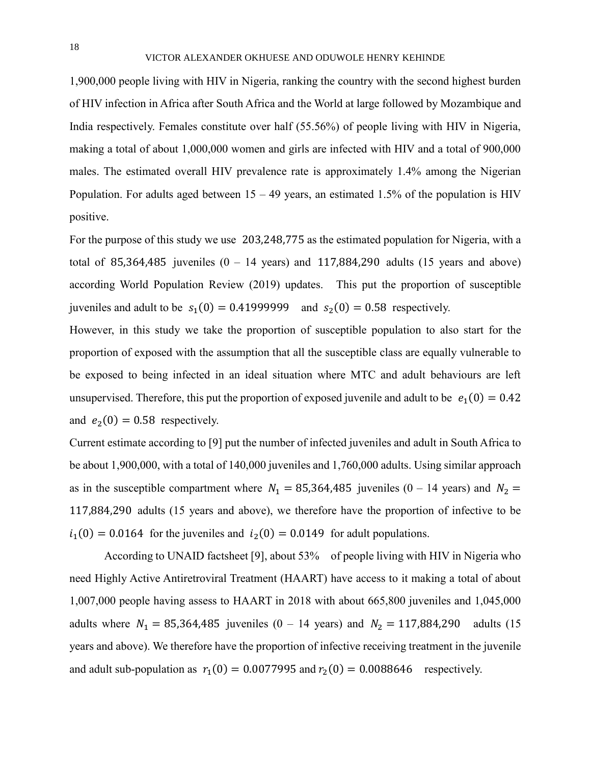1,900,000 people living with HIV in Nigeria, ranking the country with the second highest burden of HIV infection in Africa after South Africa and the World at large followed by Mozambique and India respectively. Females constitute over half (55.56%) of people living with HIV in Nigeria, making a total of about 1,000,000 women and girls are infected with HIV and a total of 900,000 males. The estimated overall HIV prevalence rate is approximately 1.4% among the Nigerian Population. For adults aged between  $15 - 49$  years, an estimated 1.5% of the population is HIV positive.

For the purpose of this study we use 203,248,775 as the estimated population for Nigeria, with a total of 85,364,485 juveniles  $(0 - 14$  years) and 117,884,290 adults (15 years and above) according World Population Review (2019) updates. This put the proportion of susceptible juveniles and adult to be  $s_1(0) = 0.41999999$  and  $s_2(0) = 0.58$  respectively.

However, in this study we take the proportion of susceptible population to also start for the proportion of exposed with the assumption that all the susceptible class are equally vulnerable to be exposed to being infected in an ideal situation where MTC and adult behaviours are left unsupervised. Therefore, this put the proportion of exposed juvenile and adult to be  $e_1(0) = 0.42$ and  $e_2(0) = 0.58$  respectively.

Current estimate according to [9] put the number of infected juveniles and adult in South Africa to be about 1,900,000, with a total of 140,000 juveniles and 1,760,000 adults. Using similar approach as in the susceptible compartment where  $N_1 = 85,364,485$  juveniles (0 – 14 years) and  $N_2 =$ 117,884,290 adults (15 years and above), we therefore have the proportion of infective to be  $i_1(0) = 0.0164$  for the juveniles and  $i_2(0) = 0.0149$  for adult populations.

According to UNAID factsheet [9], about 53% of people living with HIV in Nigeria who need Highly Active Antiretroviral Treatment (HAART) have access to it making a total of about 1,007,000 people having assess to HAART in 2018 with about 665,800 juveniles and 1,045,000 adults where  $N_1 = 85,364,485$  juveniles (0 – 14 years) and  $N_2 = 117,884,290$  adults (15 years and above). We therefore have the proportion of infective receiving treatment in the juvenile and adult sub-population as  $r_1(0) = 0.0077995$  and  $r_2(0) = 0.0088646$  respectively.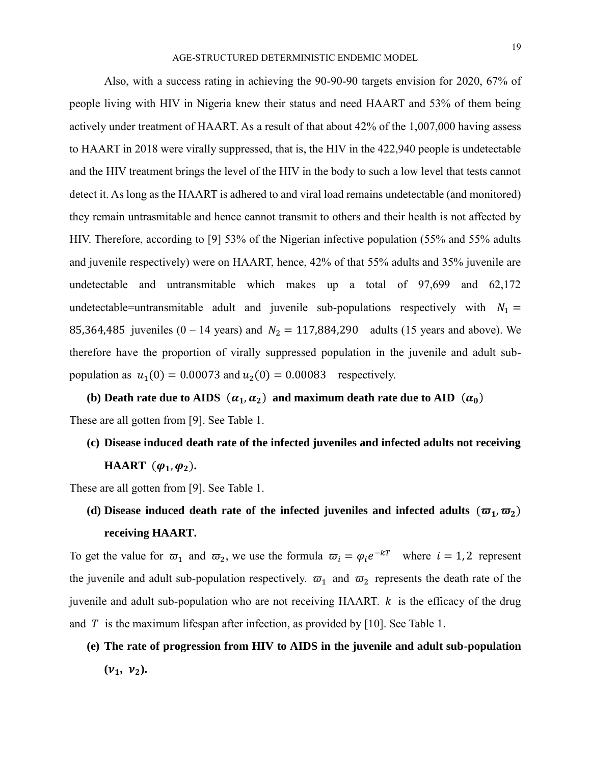Also, with a success rating in achieving the 90-90-90 targets envision for 2020, 67% of people living with HIV in Nigeria knew their status and need HAART and 53% of them being actively under treatment of HAART. As a result of that about 42% of the 1,007,000 having assess to HAART in 2018 were virally suppressed, that is, the HIV in the 422,940 people is undetectable and the HIV treatment brings the level of the HIV in the body to such a low level that tests cannot detect it. As long as the HAART is adhered to and viral load remains undetectable (and monitored) they remain untrasmitable and hence cannot transmit to others and their health is not affected by HIV. Therefore, according to [9] 53% of the Nigerian infective population (55% and 55% adults and juvenile respectively) were on HAART, hence, 42% of that 55% adults and 35% juvenile are undetectable and untransmitable which makes up a total of 97,699 and 62,172 undetectable=untransmitable adult and juvenile sub-populations respectively with  $N_1$  = 85,364,485 juveniles (0 – 14 years) and  $N_2 = 117,884,290$  adults (15 years and above). We therefore have the proportion of virally suppressed population in the juvenile and adult subpopulation as  $u_1(0) = 0.00073$  and  $u_2(0) = 0.00083$  respectively.

(b) Death rate due to AIDS  $(\alpha_1, \alpha_2)$  and maximum death rate due to AID  $(\alpha_0)$ These are all gotten from [9]. See Table 1.

**(c) Disease induced death rate of the infected juveniles and infected adults not receiving HAART**  $(\varphi_1, \varphi_2)$ .

These are all gotten from [9]. See Table 1.

(d) Disease induced death rate of the infected juveniles and infected adults  $(\varpi_1, \varpi_2)$ **receiving HAART.**

To get the value for  $\overline{\omega}_1$  and  $\overline{\omega}_2$ , we use the formula  $\overline{\omega}_i = \varphi_i e^{-kT}$  where  $i = 1, 2$  represent the juvenile and adult sub-population respectively.  $\varpi_1$  and  $\varpi_2$  represents the death rate of the juvenile and adult sub-population who are not receiving HAART.  $k$  is the efficacy of the drug and T is the maximum lifespan after infection, as provided by [10]. See Table 1.

**(e) The rate of progression from HIV to AIDS in the juvenile and adult sub-population**   $(\mathbf{v}_1, \mathbf{v}_2)$ .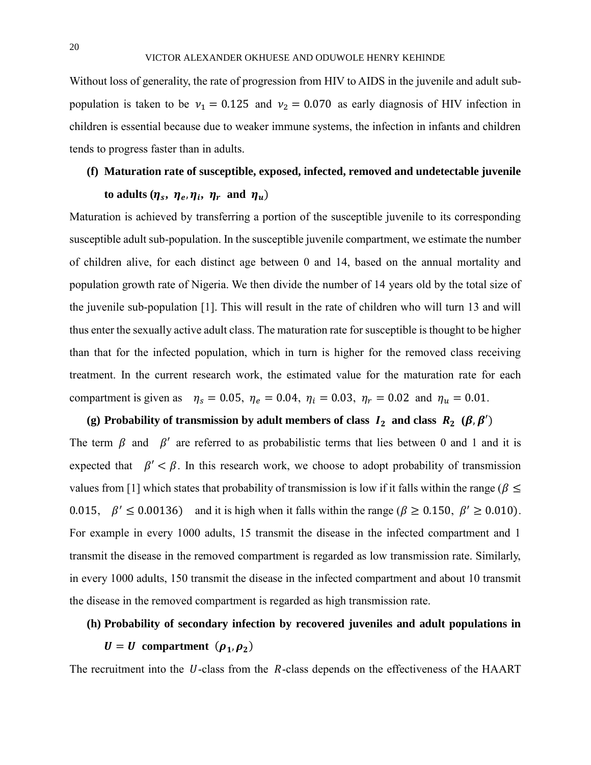Without loss of generality, the rate of progression from HIV to AIDS in the juvenile and adult subpopulation is taken to be  $v_1 = 0.125$  and  $v_2 = 0.070$  as early diagnosis of HIV infection in children is essential because due to weaker immune systems, the infection in infants and children tends to progress faster than in adults.

## **(f) Maturation rate of susceptible, exposed, infected, removed and undetectable juvenile**

# **to adults**  $(\eta_s, \eta_e, \eta_i, \eta_r$  and  $\eta_u)$

Maturation is achieved by transferring a portion of the susceptible juvenile to its corresponding susceptible adult sub-population. In the susceptible juvenile compartment, we estimate the number of children alive, for each distinct age between 0 and 14, based on the annual mortality and population growth rate of Nigeria. We then divide the number of 14 years old by the total size of the juvenile sub-population [1]. This will result in the rate of children who will turn 13 and will thus enter the sexually active adult class. The maturation rate for susceptible is thought to be higher than that for the infected population, which in turn is higher for the removed class receiving treatment. In the current research work, the estimated value for the maturation rate for each compartment is given as  $\eta_s = 0.05$ ,  $\eta_e = 0.04$ ,  $\eta_i = 0.03$ ,  $\eta_r = 0.02$  and  $\eta_u = 0.01$ .

(g) Probability of transmission by adult members of class  $I_2$  and class  $R_2$  ( $\beta$ ,  $\beta'$ ) The term  $\beta$  and  $\beta'$  are referred to as probabilistic terms that lies between 0 and 1 and it is expected that  $\beta' < \beta$ . In this research work, we choose to adopt probability of transmission values from [1] which states that probability of transmission is low if it falls within the range ( $\beta \leq$ 0.015,  $\beta' \le 0.00136$  and it is high when it falls within the range ( $\beta \ge 0.150$ ,  $\beta' \ge 0.010$ ). For example in every 1000 adults, 15 transmit the disease in the infected compartment and 1 transmit the disease in the removed compartment is regarded as low transmission rate. Similarly, in every 1000 adults, 150 transmit the disease in the infected compartment and about 10 transmit the disease in the removed compartment is regarded as high transmission rate.

# **(h) Probability of secondary infection by recovered juveniles and adult populations in**   $U = U$  compartment  $(\rho_1, \rho_2)$

The recruitment into the  $U$ -class from the  $R$ -class depends on the effectiveness of the HAART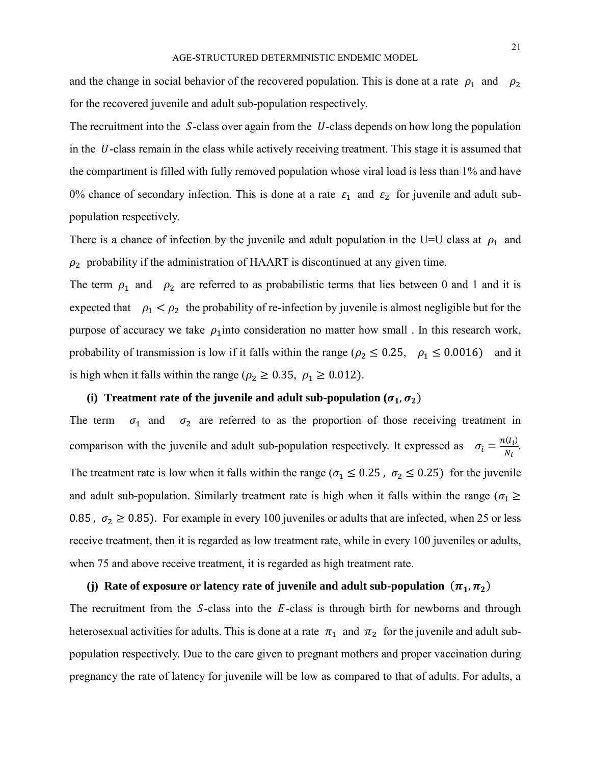and the change in social behavior of the recovered population. This is done at a rate  $\rho_1$  and  $\rho_2$ for the recovered juvenile and adult sub-population respectively.

The recruitment into the  $S$ -class over again from the  $U$ -class depends on how long the population in the  $U$ -class remain in the class while actively receiving treatment. This stage it is assumed that the compartment is filled with fully removed population whose viral load is less than 1% and have 0% chance of secondary infection. This is done at a rate  $\varepsilon_1$  and  $\varepsilon_2$  for juvenile and adult subpopulation respectively.

There is a chance of infection by the juvenile and adult population in the U=U class at  $\rho_1$  and  $\rho_2$  probability if the administration of HAART is discontinued at any given time.

The term  $\rho_1$  and  $\rho_2$  are referred to as probabilistic terms that lies between 0 and 1 and it is expected that  $\rho_1 < \rho_2$  the probability of re-infection by juvenile is almost negligible but for the purpose of accuracy we take  $\rho_1$  into consideration no matter how small . In this research work, probability of transmission is low if it falls within the range ( $\rho_2 \le 0.25$ ,  $\rho_1 \le 0.0016$ ) and it is high when it falls within the range ( $\rho_2 \ge 0.35$ ,  $\rho_1 \ge 0.012$ ).

## (i) **Treatment rate of the juvenile and adult sub-population**  $(\sigma_1, \sigma_2)$

The term  $\sigma_1$  and  $\sigma_2$  are referred to as the proportion of those receiving treatment in comparison with the juvenile and adult sub-population respectively. It expressed as  $\sigma_i = \frac{n(I_i)}{N_i}$  $\frac{\overline{u_i}}{N_i}$ . The treatment rate is low when it falls within the range ( $\sigma_1 \le 0.25$ ,  $\sigma_2 \le 0.25$ ) for the juvenile and adult sub-population. Similarly treatment rate is high when it falls within the range ( $\sigma_1 \ge$ 0.85,  $\sigma_2 \ge 0.85$ ). For example in every 100 juveniles or adults that are infected, when 25 or less receive treatment, then it is regarded as low treatment rate, while in every 100 juveniles or adults, when 75 and above receive treatment, it is regarded as high treatment rate.

# (j) Rate of exposure or latency rate of juvenile and adult sub-population  $(\pi_1, \pi_2)$

The recruitment from the  $S$ -class into the  $E$ -class is through birth for newborns and through heterosexual activities for adults. This is done at a rate  $\pi_1$  and  $\pi_2$  for the juvenile and adult subpopulation respectively. Due to the care given to pregnant mothers and proper vaccination during pregnancy the rate of latency for juvenile will be low as compared to that of adults. For adults, a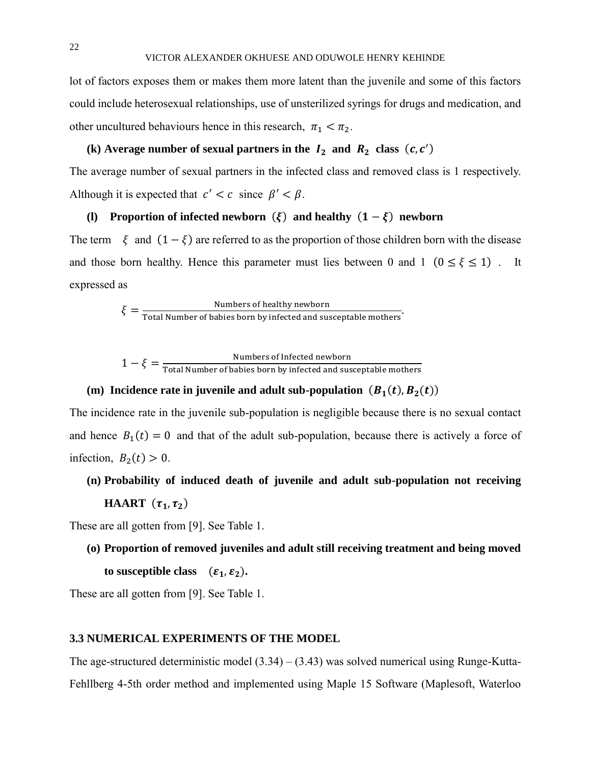lot of factors exposes them or makes them more latent than the juvenile and some of this factors could include heterosexual relationships, use of unsterilized syrings for drugs and medication, and other uncultured behaviours hence in this research,  $\pi_1 < \pi_2$ .

# (k) Average number of sexual partners in the  $I_2$  and  $R_2$  class  $(c, c')$

The average number of sexual partners in the infected class and removed class is 1 respectively. Although it is expected that  $c' < c$  since  $\beta' < \beta$ .

# **(l) Proportion of infected newborn**  $(\xi)$  **and healthy**  $(1 - \xi)$  **newborn**

The term  $\xi$  and  $(1 - \xi)$  are referred to as the proportion of those children born with the disease and those born healthy. Hence this parameter must lies between 0 and 1 ( $0 \le \xi \le 1$ ). It expressed as

 $\xi = \frac{\text{Numbers of healthy newborn}}{\text{Total Number of babies born by infected and susceptible mothers}}.$ 

$$
1 - \xi = \frac{\text{Numbers of Infected newborn}}{\text{Total Number of babies born by infected and susceptible mothers}}
$$

# (m) Incidence rate in juvenile and adult sub-population  $(B_1(t), B_2(t))$

The incidence rate in the juvenile sub-population is negligible because there is no sexual contact and hence  $B_1(t) = 0$  and that of the adult sub-population, because there is actively a force of infection,  $B_2(t) > 0$ .

**(n) Probability of induced death of juvenile and adult sub-population not receiving HAART**  $(\tau_1, \tau_2)$ 

These are all gotten from [9]. See Table 1.

**(o) Proportion of removed juveniles and adult still receiving treatment and being moved**  to susceptible class  $(\varepsilon_1, \varepsilon_2)$ .

These are all gotten from [9]. See Table 1.

### **3.3 NUMERICAL EXPERIMENTS OF THE MODEL**

The age-structured deterministic model  $(3.34) - (3.43)$  was solved numerical using Runge-Kutta-Fehllberg 4-5th order method and implemented using Maple 15 Software (Maplesoft, Waterloo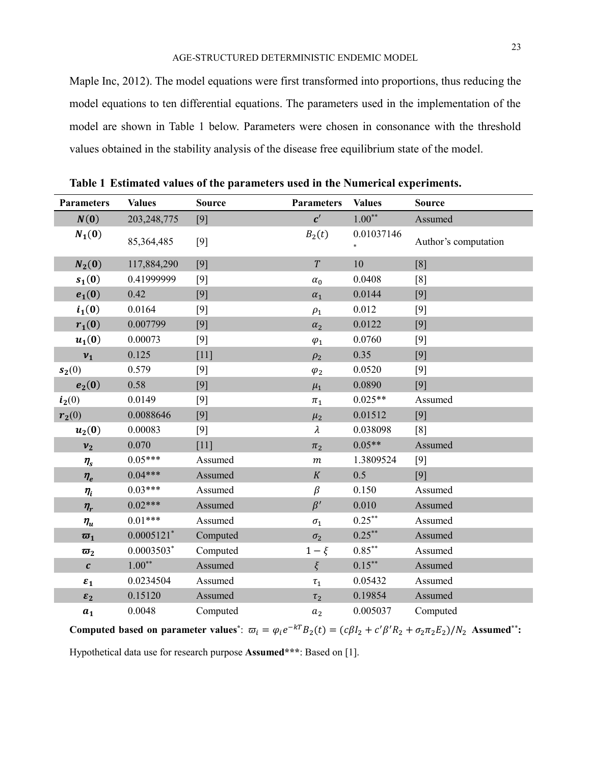Maple Inc, 2012). The model equations were first transformed into proportions, thus reducing the model equations to ten differential equations. The parameters used in the implementation of the model are shown in Table 1 below. Parameters were chosen in consonance with the threshold values obtained in the stability analysis of the disease free equilibrium state of the model.

| <b>Parameters</b>                  | <b>Values</b>            | <b>Source</b> | <b>Parameters</b> | <b>Values</b> | <b>Source</b>        |
|------------------------------------|--------------------------|---------------|-------------------|---------------|----------------------|
| N(0)                               | 203, 248, 775            | [9]           | $c^{\prime}$      | $1.00**$      | Assumed              |
| $N_1(0)$                           | 85,364,485               | $[9]$         | $B_2(t)$          | 0.01037146    | Author's computation |
| $N_2(0)$                           | 117,884,290              | [9]           | T                 | 10            | [8]                  |
| $s_1(0)$                           | 0.41999999               | $[9]$         | $\alpha_0$        | 0.0408        | [8]                  |
| $e_1(0)$                           | 0.42                     | [9]           | $\alpha_1$        | 0.0144        | [9]                  |
| $i_1(0)$                           | 0.0164                   | $[9]$         | $\rho_1$          | 0.012         | $[9]$                |
| $r_1(0)$                           | 0.007799                 | [9]           | $\alpha_2$        | 0.0122        | [9]                  |
| $\boldsymbol{u}_1(\boldsymbol{0})$ | 0.00073                  | $[9]$         | $\varphi_1$       | 0.0760        | $[9]$                |
| $v_1$                              | 0.125                    | $[11]$        | $\rho_2$          | 0.35          | [9]                  |
| $s_2(0)$                           | 0.579                    | $[9]$         | $\varphi_2$       | 0.0520        | $[9]$                |
| $e_2(0)$                           | 0.58                     | [9]           | $\mu_1$           | 0.0890        | [9]                  |
| $i_2(0)$                           | 0.0149                   | $[9]$         | $\pi_1$           | $0.025**$     | Assumed              |
| $r_2(0)$                           | 0.0088646                | [9]           | $\mu_2$           | 0.01512       | $[9]$                |
| $u_2(0)$                           | 0.00083                  | $[9]$         | $\lambda$         | 0.038098      | [8]                  |
| v <sub>2</sub>                     | 0.070                    | [11]          | $\pi_2$           | $0.05**$      | Assumed              |
| $\eta_{s}$                         | $0.05***$                | Assumed       | $\boldsymbol{m}$  | 1.3809524     | $[9]$                |
| $n_e$                              | $0.04***$                | Assumed       | K                 | 0.5           | $[9]$                |
| $n_i$                              | $0.03***$                | Assumed       | $\beta$           | 0.150         | Assumed              |
| $\eta_r$                           | $0.02***$                | Assumed       | $\beta'$          | 0.010         | Assumed              |
| $n_{u}$                            | $0.01***$                | Assumed       | $\sigma_{\rm 1}$  | $0.25***$     | Assumed              |
| $\overline{\omega}_1$              | $0.0005121$ <sup>*</sup> | Computed      | $\sigma_2$        | $0.25***$     | Assumed              |
| $\varpi_2$                         | $0.0003503*$             | Computed      | $1-\xi$           | $0.85***$     | Assumed              |
| $\boldsymbol{c}$                   | $1.00**$                 | Assumed       | $\xi$             | $0.15***$     | Assumed              |
| $\varepsilon_1$                    | 0.0234504                | Assumed       | $\tau_1$          | 0.05432       | Assumed              |
| $\varepsilon_2$                    | 0.15120                  | Assumed       | $\tau_2$          | 0.19854       | Assumed              |
| a <sub>1</sub>                     | 0.0048                   | Computed      | a <sub>2</sub>    | 0.005037      | Computed             |

**Table 1 Estimated values of the parameters used in the Numerical experiments.**

**Computed based on parameter values**<sup>\*</sup>:  $\varpi_i = \varphi_i e^{-kT} B_2(t) = (c\beta I_2 + c'\beta'R_2 + \sigma_2\pi_2 E_2)/N_2$  Assumed<sup>\*\*</sup>:

Hypothetical data use for research purpose **Assumed\*\*\***: Based on [1].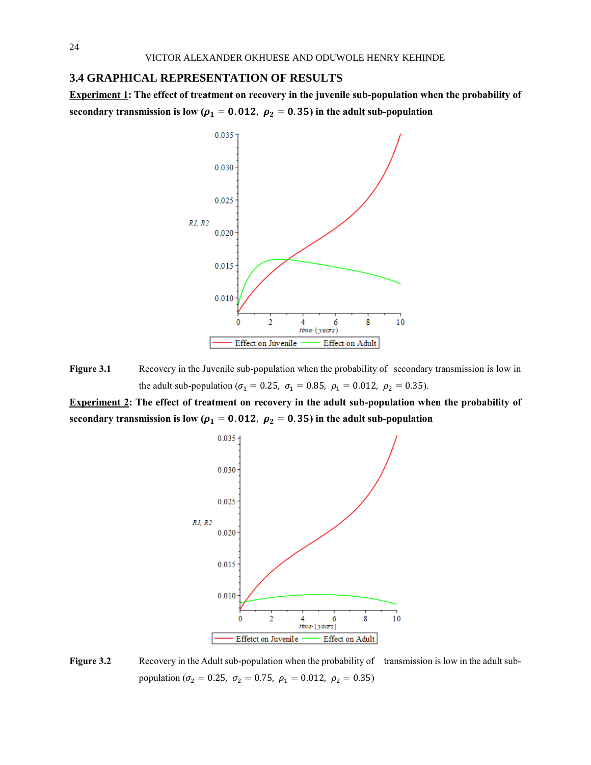#### **3.4 GRAPHICAL REPRESENTATION OF RESULTS**

**Experiment 1: The effect of treatment on recovery in the juvenile sub-population when the probability of**  secondary transmission is low ( $\rho_1 = 0.012$ ,  $\rho_2 = 0.35$ ) in the adult sub-population



**Figure 3.1** Recovery in the Juvenile sub-population when the probability of secondary transmission is low in the adult sub-population ( $\sigma_1 = 0.25$ ,  $\sigma_1 = 0.85$ ,  $\rho_1 = 0.012$ ,  $\rho_2 = 0.35$ ).

**Experiment 2: The effect of treatment on recovery in the adult sub-population when the probability of**  secondary transmission is low ( $\rho_1 = 0.012$ ,  $\rho_2 = 0.35$ ) in the adult sub-population



**Figure 3.2** Recovery in the Adult sub-population when the probability of transmission is low in the adult subpopulation ( $\sigma_2 = 0.25$ ,  $\sigma_2 = 0.75$ ,  $\rho_1 = 0.012$ ,  $\rho_2 = 0.35$ )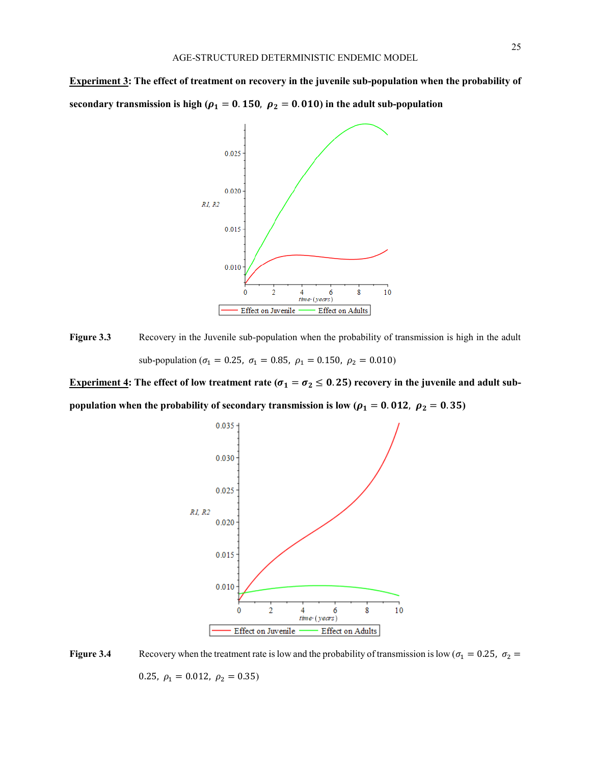**Experiment 3: The effect of treatment on recovery in the juvenile sub-population when the probability of**  secondary transmission is high ( $\rho_1 = 0.150$ ,  $\rho_2 = 0.010$ ) in the adult sub-population



**Figure 3.3** Recovery in the Juvenile sub-population when the probability of transmission is high in the adult sub-population ( $\sigma_1 = 0.25$ ,  $\sigma_1 = 0.85$ ,  $\rho_1 = 0.150$ ,  $\rho_2 = 0.010$ )

**Experiment 4:** The effect of low treatment rate ( $\sigma_1 = \sigma_2 \le 0.25$ ) recovery in the juvenile and adult sub**population when the probability of secondary transmission is low (** $\rho_1 = 0.012$ **,**  $\rho_2 = 0.35$ **)** 



**Figure 3.4** Recovery when the treatment rate is low and the probability of transmission is low ( $\sigma_1 = 0.25$ ,  $\sigma_2 =$ 0.25,  $\rho_1 = 0.012, \ \rho_2 = 0.35$ )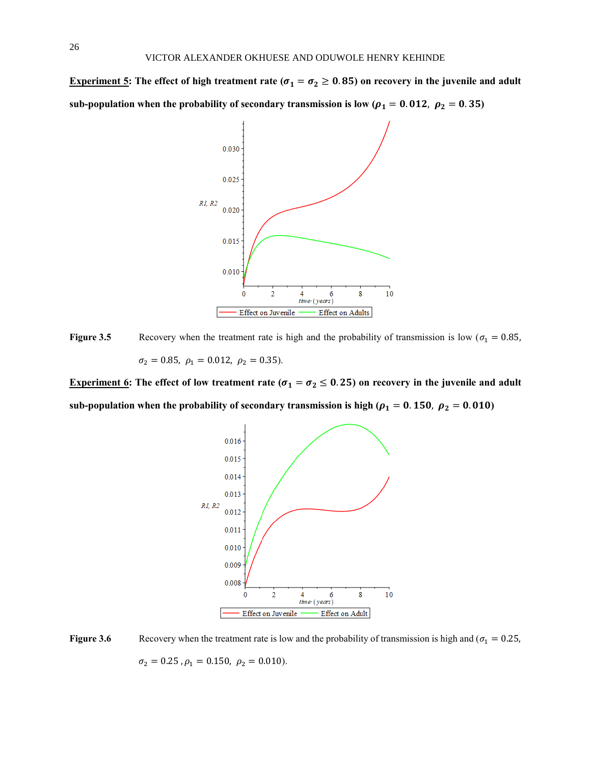**Experiment 5:** The effect of high treatment rate ( $\sigma_1 = \sigma_2 \ge 0.85$ ) on recovery in the juvenile and adult sub-population when the probability of secondary transmission is low ( $\rho_1 = 0.012$ ,  $\rho_2 = 0.35$ )



**Figure 3.5** Recovery when the treatment rate is high and the probability of transmission is low ( $\sigma_1 = 0.85$ ,  $\sigma_2 = 0.85$ ,  $\rho_1 = 0.012$ ,  $\rho_2 = 0.35$ ).

**Experiment 6:** The effect of low treatment rate ( $\sigma_1 = \sigma_2 \le 0.25$ ) on recovery in the juvenile and adult sub-population when the probability of secondary transmission is high ( $\rho_1 = 0.150$ ,  $\rho_2 = 0.010$ )



**Figure 3.6** Recovery when the treatment rate is low and the probability of transmission is high and ( $\sigma_1 = 0.25$ ,  $\sigma_2 = 0.25$ ,  $\rho_1 = 0.150$ ,  $\rho_2 = 0.010$ ).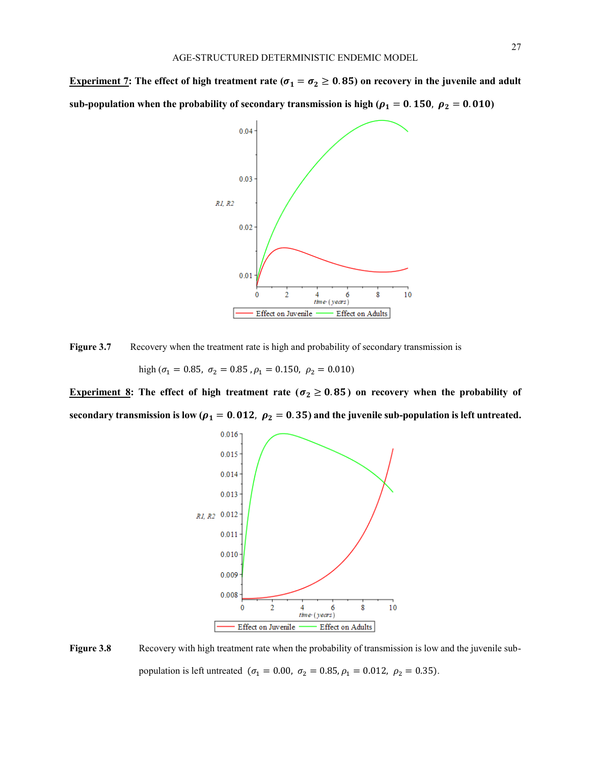**Experiment 7:** The effect of high treatment rate ( $\sigma_1 = \sigma_2 \ge 0.85$ ) on recovery in the juvenile and adult sub-population when the probability of secondary transmission is high ( $\rho_1 = 0.150$ ,  $\rho_2 = 0.010$ )



Figure 3.7 Recovery when the treatment rate is high and probability of secondary transmission is

high ( $\sigma_1 = 0.85$ ,  $\sigma_2 = 0.85$ ,  $\rho_1 = 0.150$ ,  $\rho_2 = 0.010$ )

**Experiment 8:** The effect of high treatment rate ( $\sigma_2 \ge 0.85$ ) on recovery when the probability of secondary transmission is low ( $\rho_1 = 0.012$ ,  $\rho_2 = 0.35$ ) and the juvenile sub-population is left untreated.



**Figure 3.8** Recovery with high treatment rate when the probability of transmission is low and the juvenile subpopulation is left untreated ( $\sigma_1 = 0.00$ ,  $\sigma_2 = 0.85$ ,  $\rho_1 = 0.012$ ,  $\rho_2 = 0.35$ ).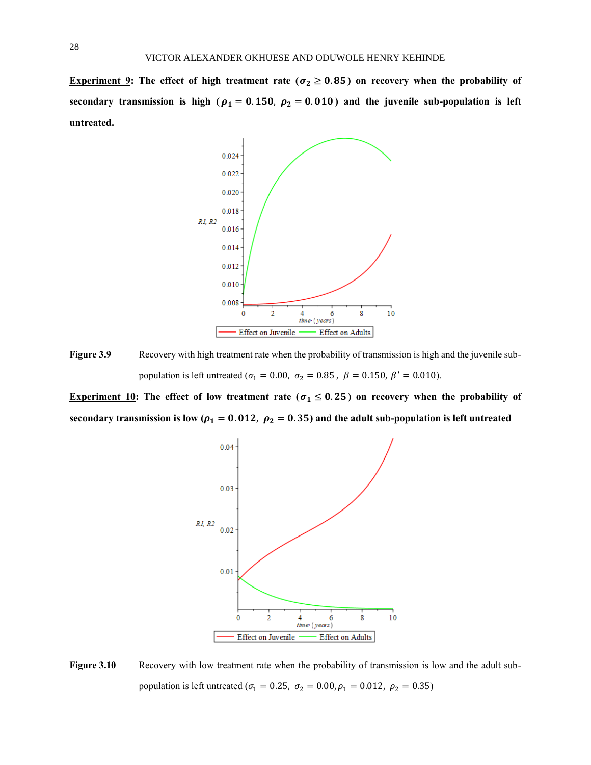**Experiment 9:** The effect of high treatment rate ( $\sigma_2 \ge 0.85$ ) on recovery when the probability of secondary transmission is high ( $\rho_1 = 0.150$ ,  $\rho_2 = 0.010$ ) and the juvenile sub-population is left **untreated.**



**Figure 3.9** Recovery with high treatment rate when the probability of transmission is high and the juvenile subpopulation is left untreated ( $\sigma_1 = 0.00$ ,  $\sigma_2 = 0.85$ ,  $\beta = 0.150$ ,  $\beta' = 0.010$ ).

**Experiment 10:** The effect of low treatment rate ( $\sigma_1 \le 0.25$ ) on recovery when the probability of secondary transmission is low ( $\rho_1 = 0.012$ ,  $\rho_2 = 0.35$ ) and the adult sub-population is left untreated



**Figure 3.10** Recovery with low treatment rate when the probability of transmission is low and the adult subpopulation is left untreated ( $\sigma_1 = 0.25$ ,  $\sigma_2 = 0.00$ ,  $\rho_1 = 0.012$ ,  $\rho_2 = 0.35$ )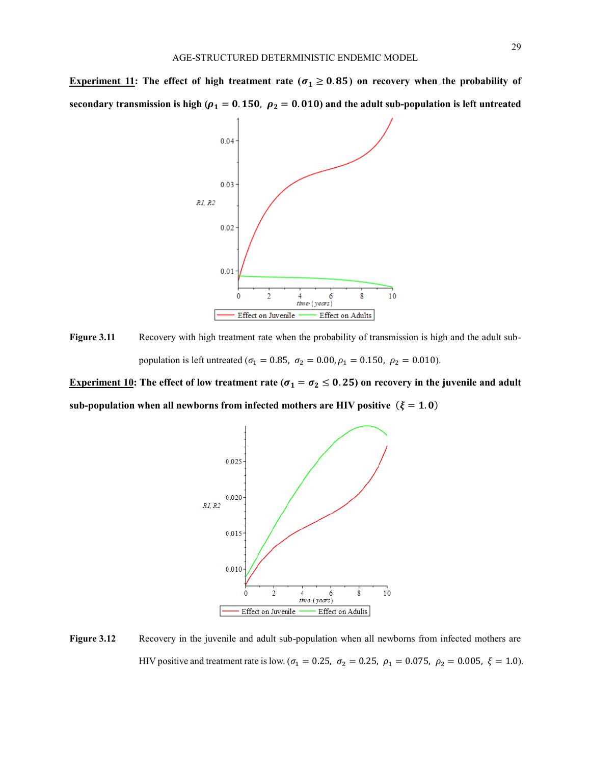**Experiment 11:** The effect of high treatment rate ( $\sigma_1 \ge 0.85$ ) on recovery when the probability of secondary transmission is high ( $\rho_1 = 0.150$ ,  $\rho_2 = 0.010$ ) and the adult sub-population is left untreated



**Figure 3.11** Recovery with high treatment rate when the probability of transmission is high and the adult subpopulation is left untreated ( $\sigma_1 = 0.85$ ,  $\sigma_2 = 0.00$ ,  $\rho_1 = 0.150$ ,  $\rho_2 = 0.010$ ).

**Experiment 10:** The effect of low treatment rate ( $\sigma_1 = \sigma_2 \le 0.25$ ) on recovery in the juvenile and adult sub-population when all newborns from infected mothers are HIV positive  $(\xi = 1.0)$ 



**Figure 3.12** Recovery in the juvenile and adult sub-population when all newborns from infected mothers are HIV positive and treatment rate is low. ( $\sigma_1 = 0.25$ ,  $\sigma_2 = 0.25$ ,  $\rho_1 = 0.075$ ,  $\rho_2 = 0.005$ ,  $\xi = 1.0$ ).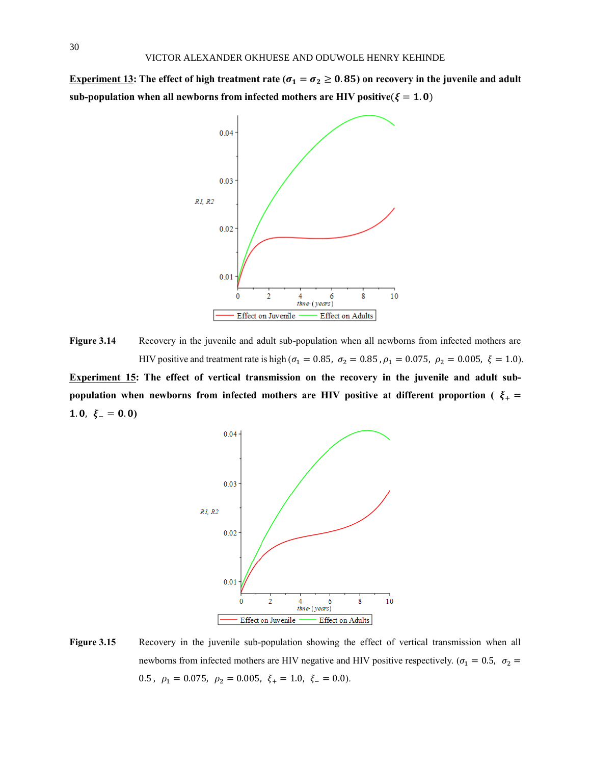**Experiment 13:** The effect of high treatment rate ( $\sigma_1 = \sigma_2 \ge 0.85$ ) on recovery in the juvenile and adult sub-population when all newborns from infected mothers are HIV positive( $\xi = 1.0$ )



**Figure 3.14** Recovery in the juvenile and adult sub-population when all newborns from infected mothers are HIV positive and treatment rate is high ( $\sigma_1 = 0.85$ ,  $\sigma_2 = 0.85$ ,  $\rho_1 = 0.075$ ,  $\rho_2 = 0.005$ ,  $\xi = 1.0$ ).

**Experiment 15: The effect of vertical transmission on the recovery in the juvenile and adult subpopulation when newborns from infected mothers are HIV positive at different proportion (** $\xi_{+}$  **=** 1.0,  $\xi = 0.0$ 



**Figure 3.15** Recovery in the juvenile sub-population showing the effect of vertical transmission when all newborns from infected mothers are HIV negative and HIV positive respectively. ( $\sigma_1 = 0.5$ ,  $\sigma_2 =$ 0.5,  $\rho_1 = 0.075$ ,  $\rho_2 = 0.005$ ,  $\xi_+ = 1.0$ ,  $\xi_- = 0.0$ ).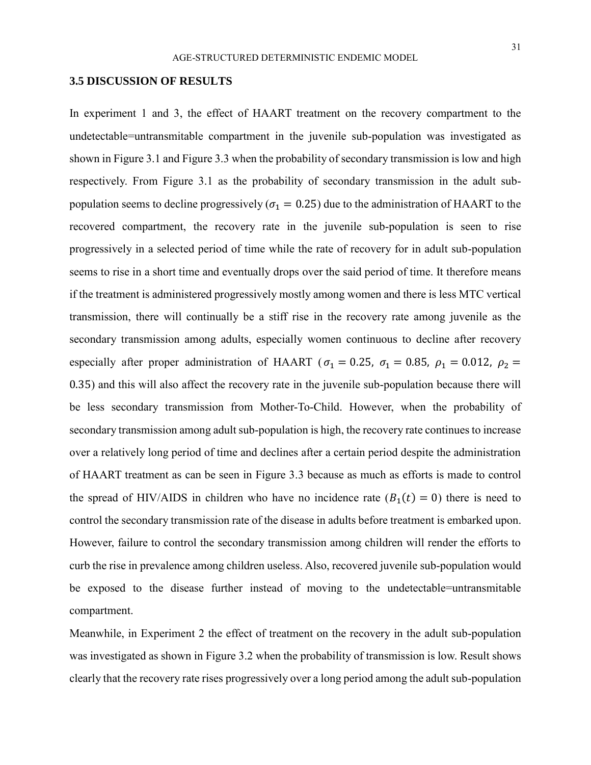### **3.5 DISCUSSION OF RESULTS**

In experiment 1 and 3, the effect of HAART treatment on the recovery compartment to the undetectable=untransmitable compartment in the juvenile sub-population was investigated as shown in Figure 3.1 and Figure 3.3 when the probability of secondary transmission is low and high respectively. From Figure 3.1 as the probability of secondary transmission in the adult subpopulation seems to decline progressively ( $\sigma_1 = 0.25$ ) due to the administration of HAART to the recovered compartment, the recovery rate in the juvenile sub-population is seen to rise progressively in a selected period of time while the rate of recovery for in adult sub-population seems to rise in a short time and eventually drops over the said period of time. It therefore means if the treatment is administered progressively mostly among women and there is less MTC vertical transmission, there will continually be a stiff rise in the recovery rate among juvenile as the secondary transmission among adults, especially women continuous to decline after recovery especially after proper administration of HAART ( $\sigma_1 = 0.25$ ,  $\sigma_1 = 0.85$ ,  $\rho_1 = 0.012$ ,  $\rho_2 =$ 0.35) and this will also affect the recovery rate in the juvenile sub-population because there will be less secondary transmission from Mother-To-Child. However, when the probability of secondary transmission among adult sub-population is high, the recovery rate continues to increase over a relatively long period of time and declines after a certain period despite the administration of HAART treatment as can be seen in Figure 3.3 because as much as efforts is made to control the spread of HIV/AIDS in children who have no incidence rate  $(B_1(t) = 0)$  there is need to control the secondary transmission rate of the disease in adults before treatment is embarked upon. However, failure to control the secondary transmission among children will render the efforts to curb the rise in prevalence among children useless. Also, recovered juvenile sub-population would be exposed to the disease further instead of moving to the undetectable=untransmitable compartment.

Meanwhile, in Experiment 2 the effect of treatment on the recovery in the adult sub-population was investigated as shown in Figure 3.2 when the probability of transmission is low. Result shows clearly that the recovery rate rises progressively over a long period among the adult sub-population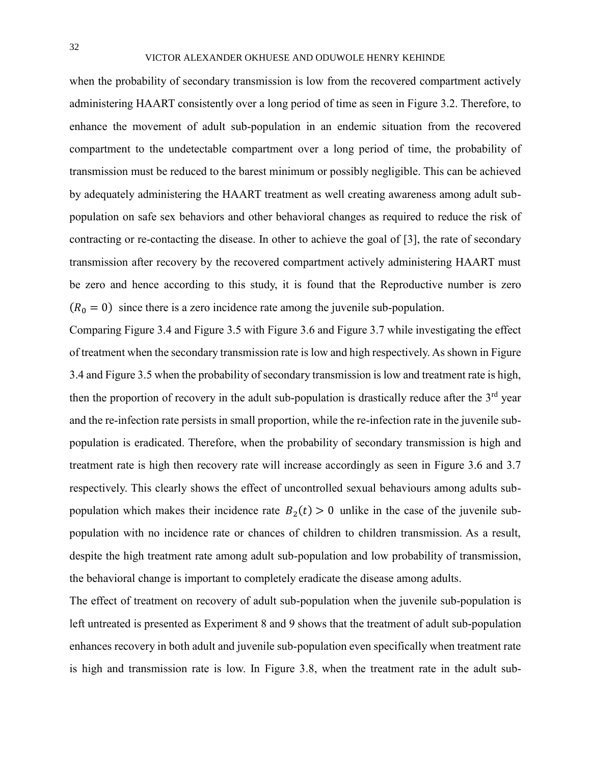### VICTOR ALEXANDER OKHUESE AND ODUWOLE HENRY KEHINDE

when the probability of secondary transmission is low from the recovered compartment actively administering HAART consistently over a long period of time as seen in Figure 3.2. Therefore, to enhance the movement of adult sub-population in an endemic situation from the recovered compartment to the undetectable compartment over a long period of time, the probability of transmission must be reduced to the barest minimum or possibly negligible. This can be achieved by adequately administering the HAART treatment as well creating awareness among adult subpopulation on safe sex behaviors and other behavioral changes as required to reduce the risk of contracting or re-contacting the disease. In other to achieve the goal of [3], the rate of secondary transmission after recovery by the recovered compartment actively administering HAART must be zero and hence according to this study, it is found that the Reproductive number is zero  $(R_0 = 0)$  since there is a zero incidence rate among the juvenile sub-population.

Comparing Figure 3.4 and Figure 3.5 with Figure 3.6 and Figure 3.7 while investigating the effect of treatment when the secondary transmission rate is low and high respectively. As shown in Figure 3.4 and Figure 3.5 when the probability of secondary transmission is low and treatment rate is high, then the proportion of recovery in the adult sub-population is drastically reduce after the  $3<sup>rd</sup>$  year and the re-infection rate persists in small proportion, while the re-infection rate in the juvenile subpopulation is eradicated. Therefore, when the probability of secondary transmission is high and treatment rate is high then recovery rate will increase accordingly as seen in Figure 3.6 and 3.7 respectively. This clearly shows the effect of uncontrolled sexual behaviours among adults subpopulation which makes their incidence rate  $B_2(t) > 0$  unlike in the case of the juvenile subpopulation with no incidence rate or chances of children to children transmission. As a result, despite the high treatment rate among adult sub-population and low probability of transmission, the behavioral change is important to completely eradicate the disease among adults.

The effect of treatment on recovery of adult sub-population when the juvenile sub-population is left untreated is presented as Experiment 8 and 9 shows that the treatment of adult sub-population enhances recovery in both adult and juvenile sub-population even specifically when treatment rate is high and transmission rate is low. In Figure 3.8, when the treatment rate in the adult sub-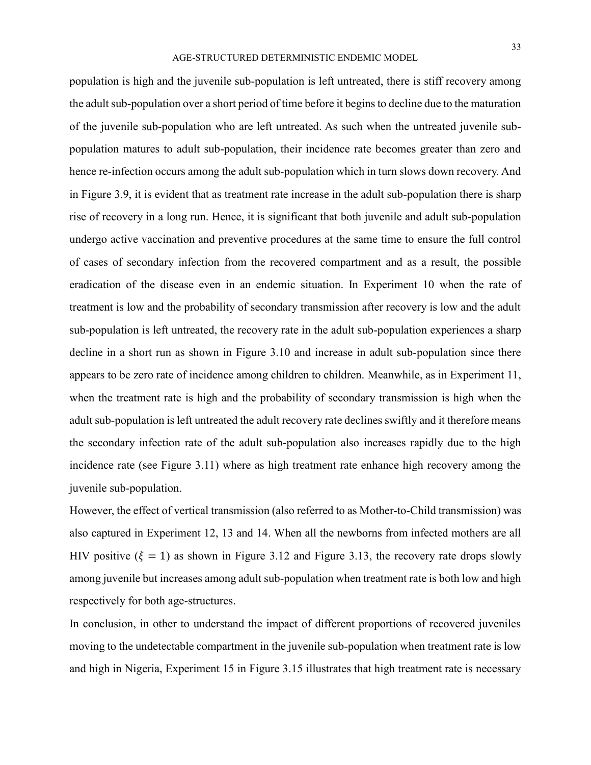### AGE-STRUCTURED DETERMINISTIC ENDEMIC MODEL

population is high and the juvenile sub-population is left untreated, there is stiff recovery among the adult sub-population over a short period of time before it begins to decline due to the maturation of the juvenile sub-population who are left untreated. As such when the untreated juvenile subpopulation matures to adult sub-population, their incidence rate becomes greater than zero and hence re-infection occurs among the adult sub-population which in turn slows down recovery. And in Figure 3.9, it is evident that as treatment rate increase in the adult sub-population there is sharp rise of recovery in a long run. Hence, it is significant that both juvenile and adult sub-population undergo active vaccination and preventive procedures at the same time to ensure the full control of cases of secondary infection from the recovered compartment and as a result, the possible eradication of the disease even in an endemic situation. In Experiment 10 when the rate of treatment is low and the probability of secondary transmission after recovery is low and the adult sub-population is left untreated, the recovery rate in the adult sub-population experiences a sharp decline in a short run as shown in Figure 3.10 and increase in adult sub-population since there appears to be zero rate of incidence among children to children. Meanwhile, as in Experiment 11, when the treatment rate is high and the probability of secondary transmission is high when the adult sub-population is left untreated the adult recovery rate declines swiftly and it therefore means the secondary infection rate of the adult sub-population also increases rapidly due to the high incidence rate (see Figure 3.11) where as high treatment rate enhance high recovery among the juvenile sub-population.

However, the effect of vertical transmission (also referred to as Mother-to-Child transmission) was also captured in Experiment 12, 13 and 14. When all the newborns from infected mothers are all HIV positive ( $\xi = 1$ ) as shown in Figure 3.12 and Figure 3.13, the recovery rate drops slowly among juvenile but increases among adult sub-population when treatment rate is both low and high respectively for both age-structures.

In conclusion, in other to understand the impact of different proportions of recovered juveniles moving to the undetectable compartment in the juvenile sub-population when treatment rate is low and high in Nigeria, Experiment 15 in Figure 3.15 illustrates that high treatment rate is necessary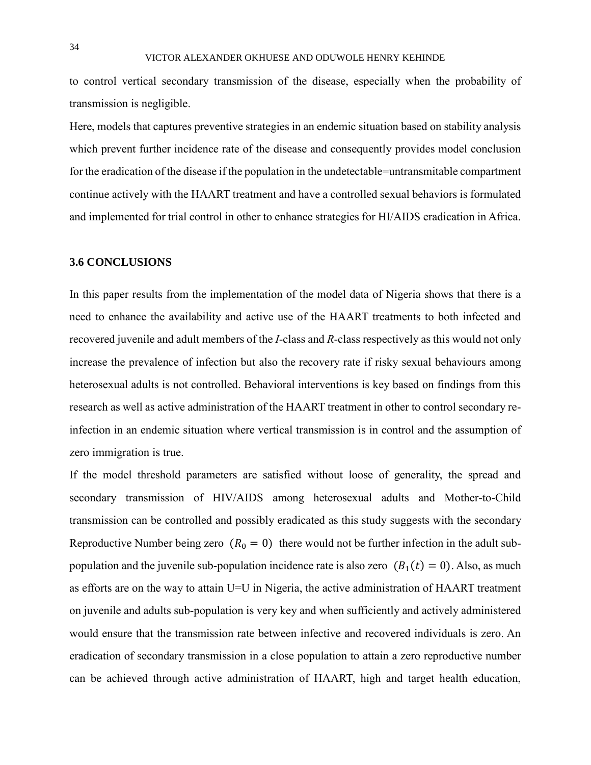to control vertical secondary transmission of the disease, especially when the probability of transmission is negligible.

Here, models that captures preventive strategies in an endemic situation based on stability analysis which prevent further incidence rate of the disease and consequently provides model conclusion for the eradication of the disease if the population in the undetectable=untransmitable compartment continue actively with the HAART treatment and have a controlled sexual behaviors is formulated and implemented for trial control in other to enhance strategies for HI/AIDS eradication in Africa.

## **3.6 CONCLUSIONS**

In this paper results from the implementation of the model data of Nigeria shows that there is a need to enhance the availability and active use of the HAART treatments to both infected and recovered juvenile and adult members of the *I*-class and *R*-class respectively as this would not only increase the prevalence of infection but also the recovery rate if risky sexual behaviours among heterosexual adults is not controlled. Behavioral interventions is key based on findings from this research as well as active administration of the HAART treatment in other to control secondary reinfection in an endemic situation where vertical transmission is in control and the assumption of zero immigration is true.

If the model threshold parameters are satisfied without loose of generality, the spread and secondary transmission of HIV/AIDS among heterosexual adults and Mother-to-Child transmission can be controlled and possibly eradicated as this study suggests with the secondary Reproductive Number being zero  $(R_0 = 0)$  there would not be further infection in the adult subpopulation and the juvenile sub-population incidence rate is also zero  $(B_1(t) = 0)$ . Also, as much as efforts are on the way to attain U=U in Nigeria, the active administration of HAART treatment on juvenile and adults sub-population is very key and when sufficiently and actively administered would ensure that the transmission rate between infective and recovered individuals is zero. An eradication of secondary transmission in a close population to attain a zero reproductive number can be achieved through active administration of HAART, high and target health education,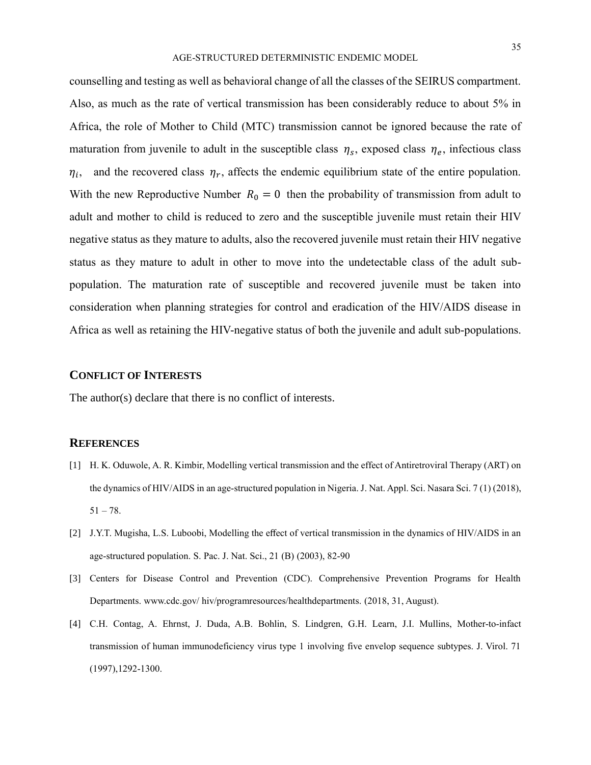counselling and testing as well as behavioral change of all the classes of the SEIRUS compartment. Also, as much as the rate of vertical transmission has been considerably reduce to about 5% in Africa, the role of Mother to Child (MTC) transmission cannot be ignored because the rate of maturation from juvenile to adult in the susceptible class  $\eta_s$ , exposed class  $\eta_e$ , infectious class  $\eta_{i}$ , , and the recovered class  $\eta_r$ , affects the endemic equilibrium state of the entire population. With the new Reproductive Number  $R_0 = 0$  then the probability of transmission from adult to adult and mother to child is reduced to zero and the susceptible juvenile must retain their HIV negative status as they mature to adults, also the recovered juvenile must retain their HIV negative status as they mature to adult in other to move into the undetectable class of the adult subpopulation. The maturation rate of susceptible and recovered juvenile must be taken into consideration when planning strategies for control and eradication of the HIV/AIDS disease in Africa as well as retaining the HIV-negative status of both the juvenile and adult sub-populations.

## **CONFLICT OF INTERESTS**

The author(s) declare that there is no conflict of interests.

### **REFERENCES**

- [1] H. K. Oduwole, A. R. Kimbir, Modelling vertical transmission and the effect of Antiretroviral Therapy (ART) on the dynamics of HIV/AIDS in an age-structured population in Nigeria. J. Nat. Appl. Sci. Nasara Sci. 7 (1) (2018),  $51 - 78.$
- [2] J.Y.T. Mugisha, L.S. Luboobi, Modelling the effect of vertical transmission in the dynamics of HIV/AIDS in an age-structured population. S. Pac. J. Nat. Sci., 21 (B) (2003), 82-90
- [3] Centers for Disease Control and Prevention (CDC). Comprehensive Prevention Programs for Health Departments. www.cdc.gov/ hiv/programresources/healthdepartments. (2018, 31, August).
- [4] C.H. Contag, A. Ehrnst, J. Duda, A.B. Bohlin, S. Lindgren, G.H. Learn, J.I. Mullins, Mother-to-infact transmission of human immunodeficiency virus type 1 involving five envelop sequence subtypes. J. Virol. 71 (1997),1292-1300.